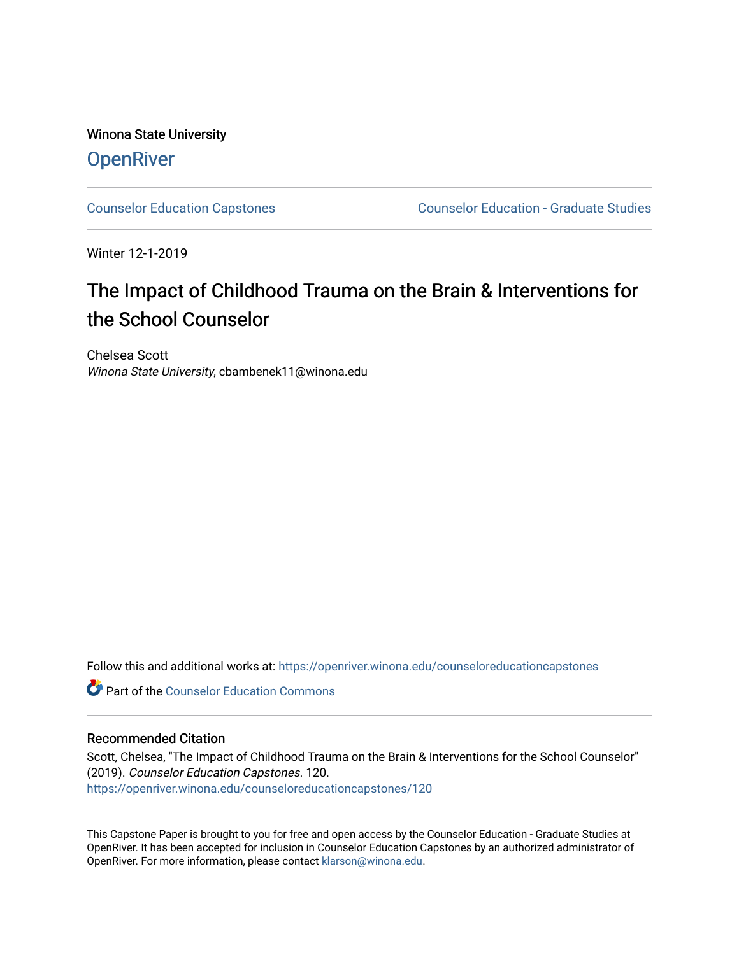Winona State University **OpenRiver** 

[Counselor Education Capstones](https://openriver.winona.edu/counseloreducationcapstones) [Counselor Education - Graduate Studies](https://openriver.winona.edu/counseloreducation) 

Winter 12-1-2019

# The Impact of Childhood Trauma on the Brain & Interventions for the School Counselor

Chelsea Scott Winona State University, cbambenek11@winona.edu

Follow this and additional works at: [https://openriver.winona.edu/counseloreducationcapstones](https://openriver.winona.edu/counseloreducationcapstones?utm_source=openriver.winona.edu%2Fcounseloreducationcapstones%2F120&utm_medium=PDF&utm_campaign=PDFCoverPages)

**C** Part of the Counselor Education Commons

## Recommended Citation

Scott, Chelsea, "The Impact of Childhood Trauma on the Brain & Interventions for the School Counselor" (2019). Counselor Education Capstones. 120. [https://openriver.winona.edu/counseloreducationcapstones/120](https://openriver.winona.edu/counseloreducationcapstones/120?utm_source=openriver.winona.edu%2Fcounseloreducationcapstones%2F120&utm_medium=PDF&utm_campaign=PDFCoverPages)

This Capstone Paper is brought to you for free and open access by the Counselor Education - Graduate Studies at OpenRiver. It has been accepted for inclusion in Counselor Education Capstones by an authorized administrator of OpenRiver. For more information, please contact [klarson@winona.edu](mailto:klarson@winona.edu).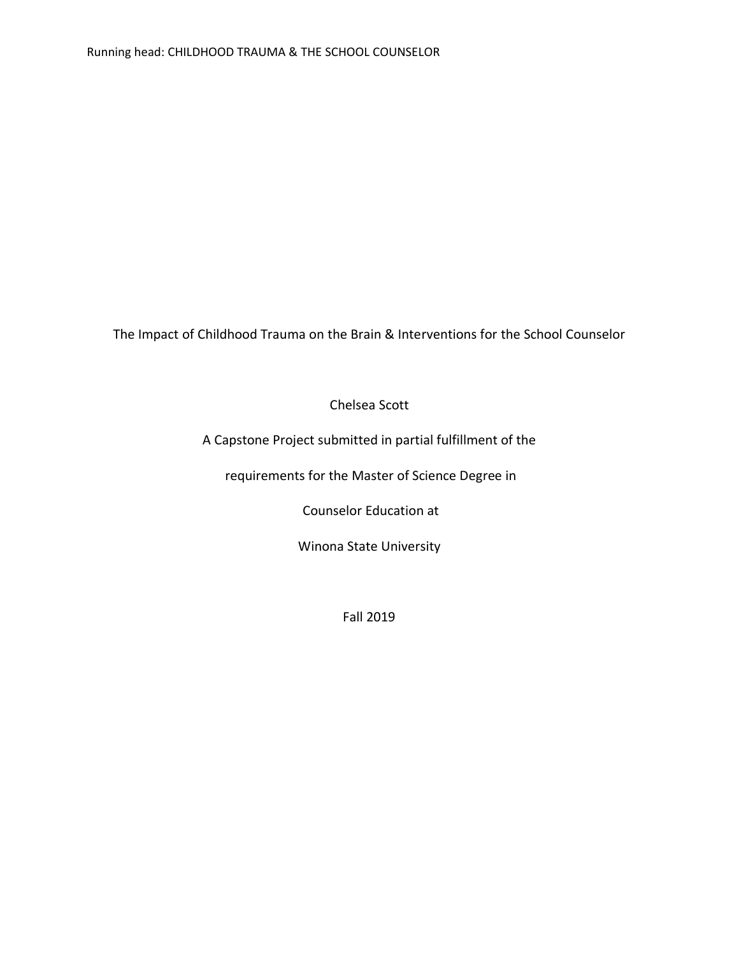The Impact of Childhood Trauma on the Brain & Interventions for the School Counselor

Chelsea Scott

A Capstone Project submitted in partial fulfillment of the

requirements for the Master of Science Degree in

Counselor Education at

Winona State University

Fall 2019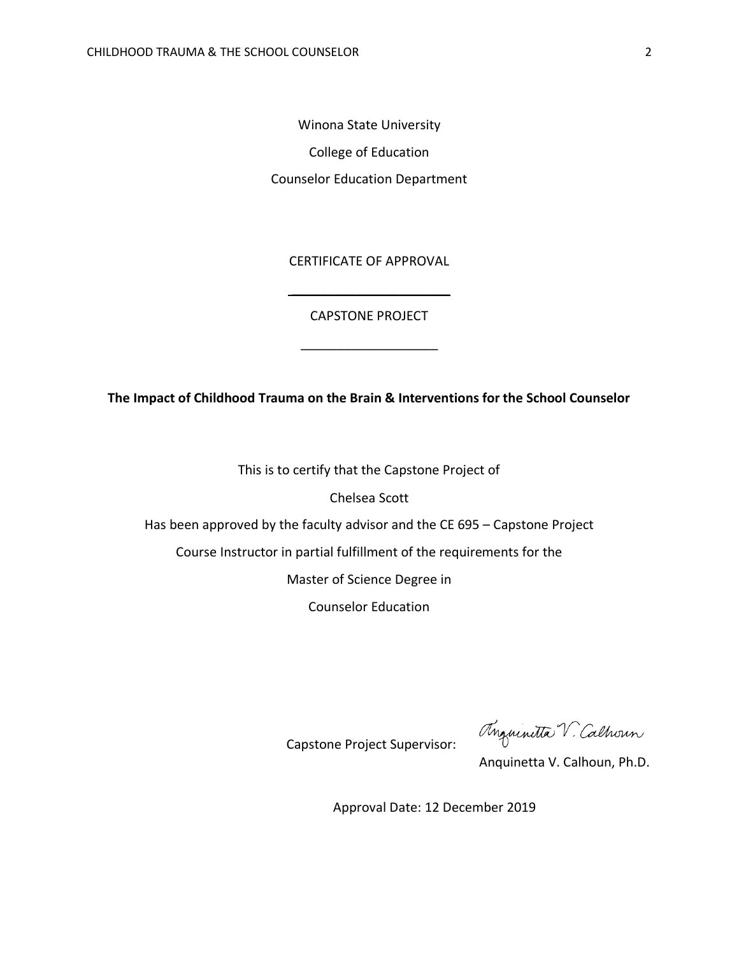Winona State University College of Education Counselor Education Department

CERTIFICATE OF APPROVAL

CAPSTONE PROJECT

\_\_\_\_\_\_\_\_\_\_\_\_\_\_\_\_\_\_\_

 $\overline{\phantom{a}}$  , which is a set of the set of the set of the set of the set of the set of the set of the set of the set of the set of the set of the set of the set of the set of the set of the set of the set of the set of th

**The Impact of Childhood Trauma on the Brain & Interventions for the School Counselor**

This is to certify that the Capstone Project of

Chelsea Scott

Has been approved by the faculty advisor and the CE 695 – Capstone Project

Course Instructor in partial fulfillment of the requirements for the

Master of Science Degree in

Counselor Education

Anguinitta V. Calhoun

Capstone Project Supervisor:

Anquinetta V. Calhoun, Ph.D.

Approval Date: 12 December 2019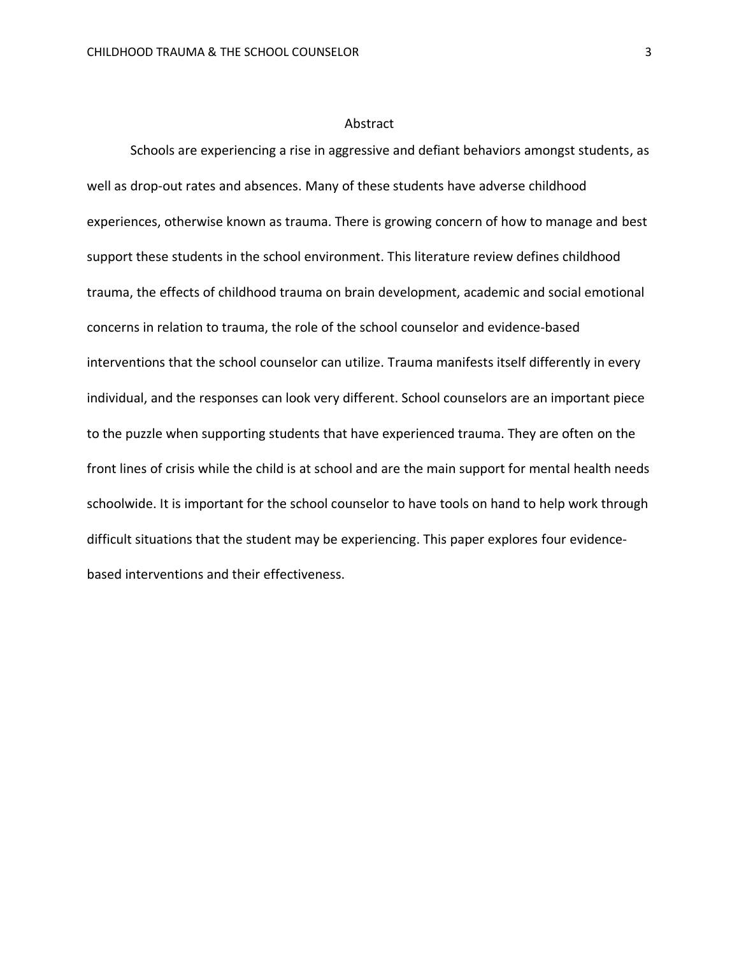#### Abstract

Schools are experiencing a rise in aggressive and defiant behaviors amongst students, as well as drop-out rates and absences. Many of these students have adverse childhood experiences, otherwise known as trauma. There is growing concern of how to manage and best support these students in the school environment. This literature review defines childhood trauma, the effects of childhood trauma on brain development, academic and social emotional concerns in relation to trauma, the role of the school counselor and evidence-based interventions that the school counselor can utilize. Trauma manifests itself differently in every individual, and the responses can look very different. School counselors are an important piece to the puzzle when supporting students that have experienced trauma. They are often on the front lines of crisis while the child is at school and are the main support for mental health needs schoolwide. It is important for the school counselor to have tools on hand to help work through difficult situations that the student may be experiencing. This paper explores four evidencebased interventions and their effectiveness.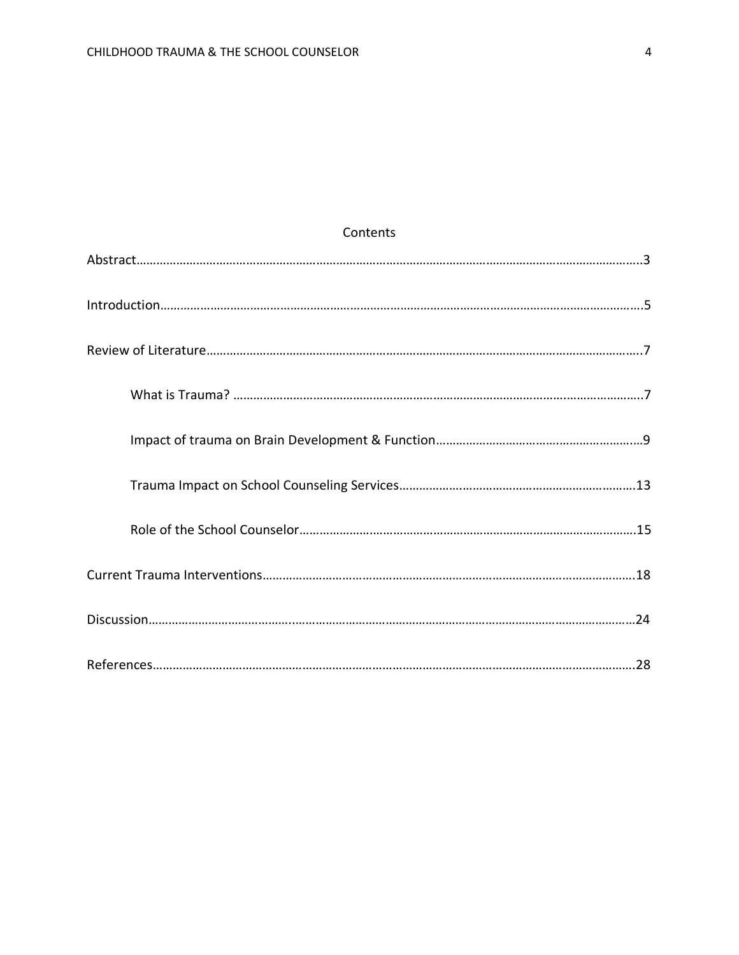| <b>CULLELILS</b> |  |
|------------------|--|
|                  |  |
|                  |  |
|                  |  |
|                  |  |
|                  |  |
|                  |  |
|                  |  |
|                  |  |
|                  |  |
|                  |  |

## **Contents**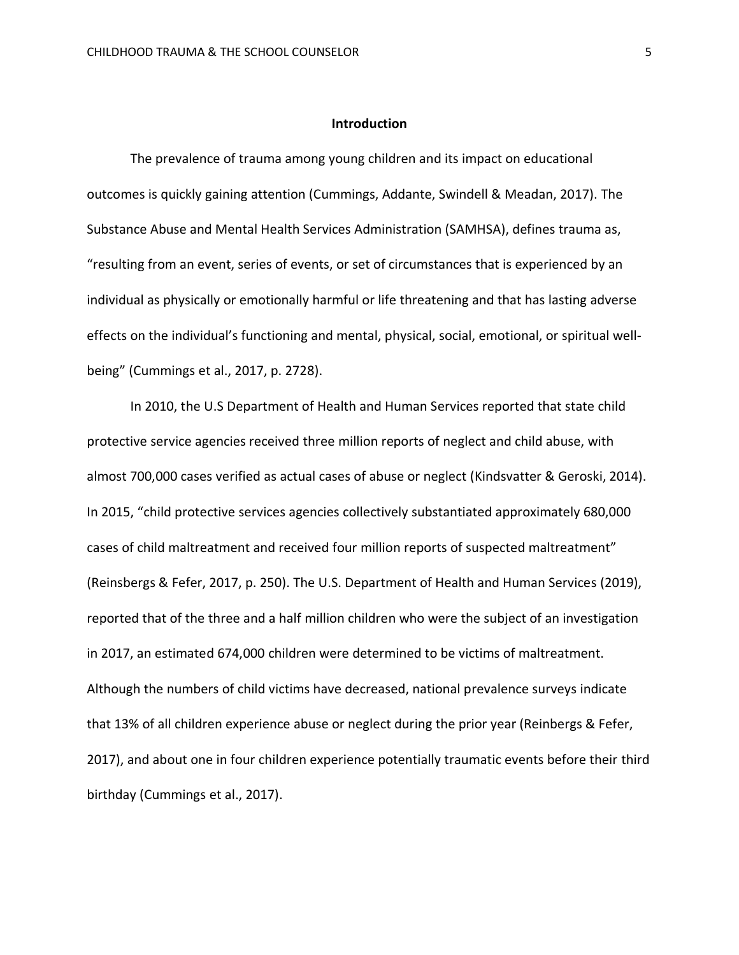#### **Introduction**

The prevalence of trauma among young children and its impact on educational outcomes is quickly gaining attention (Cummings, Addante, Swindell & Meadan, 2017). The Substance Abuse and Mental Health Services Administration (SAMHSA), defines trauma as, "resulting from an event, series of events, or set of circumstances that is experienced by an individual as physically or emotionally harmful or life threatening and that has lasting adverse effects on the individual's functioning and mental, physical, social, emotional, or spiritual wellbeing" (Cummings et al., 2017, p. 2728).

In 2010, the U.S Department of Health and Human Services reported that state child protective service agencies received three million reports of neglect and child abuse, with almost 700,000 cases verified as actual cases of abuse or neglect (Kindsvatter & Geroski, 2014). In 2015, "child protective services agencies collectively substantiated approximately 680,000 cases of child maltreatment and received four million reports of suspected maltreatment" (Reinsbergs & Fefer, 2017, p. 250). The U.S. Department of Health and Human Services (2019), reported that of the three and a half million children who were the subject of an investigation in 2017, an estimated 674,000 children were determined to be victims of maltreatment. Although the numbers of child victims have decreased, national prevalence surveys indicate that 13% of all children experience abuse or neglect during the prior year (Reinbergs & Fefer, 2017), and about one in four children experience potentially traumatic events before their third birthday (Cummings et al., 2017).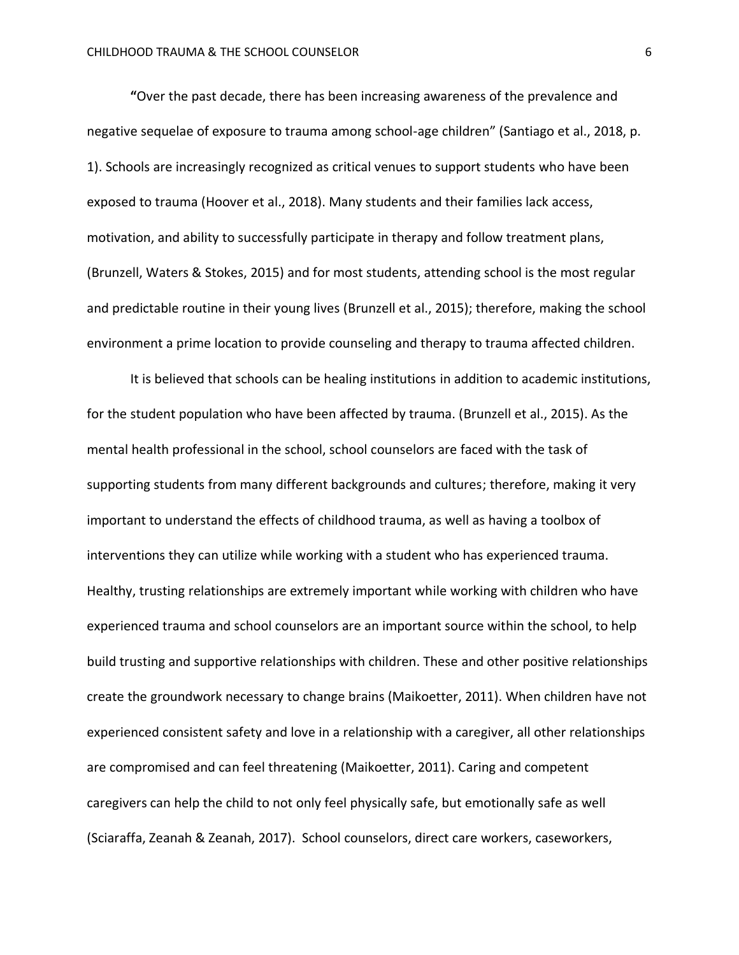**"**Over the past decade, there has been increasing awareness of the prevalence and negative sequelae of exposure to trauma among school-age children" (Santiago et al., 2018, p. 1). Schools are increasingly recognized as critical venues to support students who have been exposed to trauma (Hoover et al., 2018). Many students and their families lack access, motivation, and ability to successfully participate in therapy and follow treatment plans, (Brunzell, Waters & Stokes, 2015) and for most students, attending school is the most regular and predictable routine in their young lives (Brunzell et al., 2015); therefore, making the school environment a prime location to provide counseling and therapy to trauma affected children.

It is believed that schools can be healing institutions in addition to academic institutions, for the student population who have been affected by trauma. (Brunzell et al., 2015). As the mental health professional in the school, school counselors are faced with the task of supporting students from many different backgrounds and cultures; therefore, making it very important to understand the effects of childhood trauma, as well as having a toolbox of interventions they can utilize while working with a student who has experienced trauma. Healthy, trusting relationships are extremely important while working with children who have experienced trauma and school counselors are an important source within the school, to help build trusting and supportive relationships with children. These and other positive relationships create the groundwork necessary to change brains (Maikoetter, 2011). When children have not experienced consistent safety and love in a relationship with a caregiver, all other relationships are compromised and can feel threatening (Maikoetter, 2011). Caring and competent caregivers can help the child to not only feel physically safe, but emotionally safe as well (Sciaraffa, Zeanah & Zeanah, 2017). School counselors, direct care workers, caseworkers,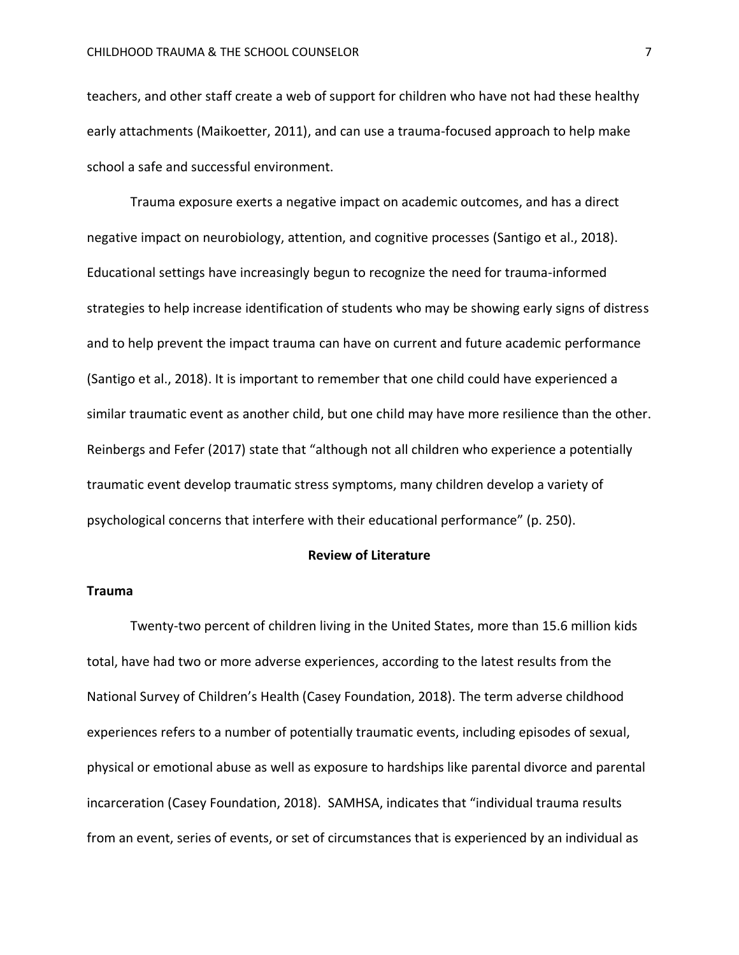teachers, and other staff create a web of support for children who have not had these healthy early attachments (Maikoetter, 2011), and can use a trauma-focused approach to help make school a safe and successful environment.

Trauma exposure exerts a negative impact on academic outcomes, and has a direct negative impact on neurobiology, attention, and cognitive processes (Santigo et al., 2018). Educational settings have increasingly begun to recognize the need for trauma-informed strategies to help increase identification of students who may be showing early signs of distress and to help prevent the impact trauma can have on current and future academic performance (Santigo et al., 2018). It is important to remember that one child could have experienced a similar traumatic event as another child, but one child may have more resilience than the other. Reinbergs and Fefer (2017) state that "although not all children who experience a potentially traumatic event develop traumatic stress symptoms, many children develop a variety of psychological concerns that interfere with their educational performance" (p. 250).

#### **Review of Literature**

## **Trauma**

Twenty-two percent of children living in the United States, more than 15.6 million kids total, have had two or more adverse experiences, according to the latest results from the National Survey of Children's Health (Casey Foundation, 2018). The term adverse childhood experiences refers to a number of potentially traumatic events, including episodes of sexual, physical or emotional abuse as well as exposure to hardships like parental divorce and parental incarceration (Casey Foundation, 2018). SAMHSA, indicates that "individual trauma results from an event, series of events, or set of circumstances that is experienced by an individual as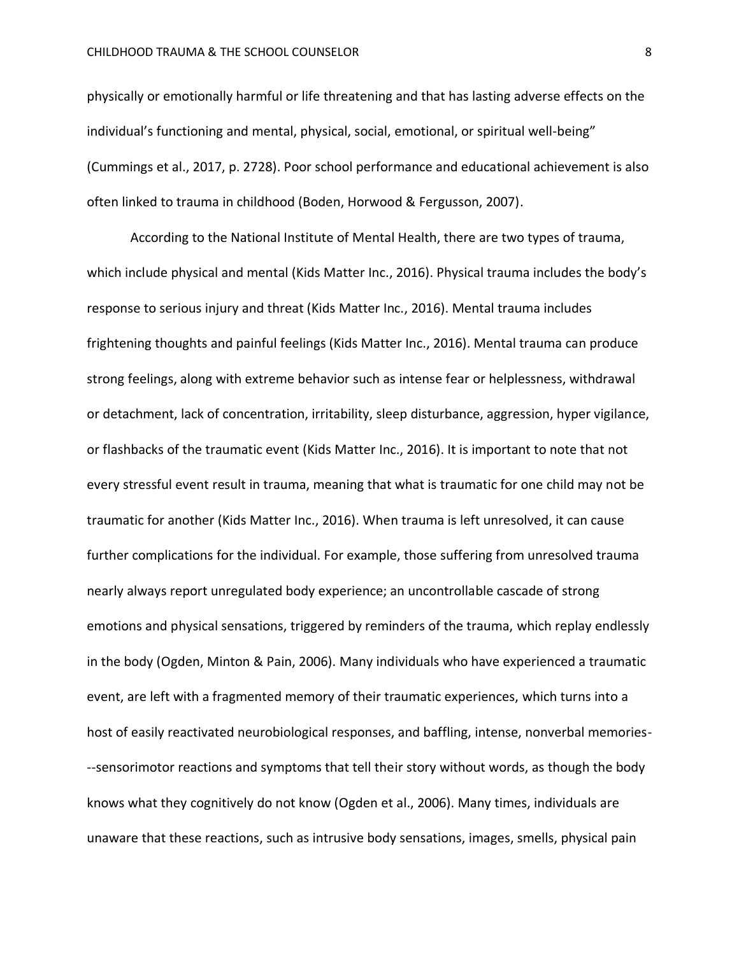physically or emotionally harmful or life threatening and that has lasting adverse effects on the individual's functioning and mental, physical, social, emotional, or spiritual well-being" (Cummings et al., 2017, p. 2728). Poor school performance and educational achievement is also often linked to trauma in childhood (Boden, Horwood & Fergusson, 2007).

According to the National Institute of Mental Health, there are two types of trauma, which include physical and mental (Kids Matter Inc., 2016). Physical trauma includes the body's response to serious injury and threat (Kids Matter Inc., 2016). Mental trauma includes frightening thoughts and painful feelings (Kids Matter Inc., 2016). Mental trauma can produce strong feelings, along with extreme behavior such as intense fear or helplessness, withdrawal or detachment, lack of concentration, irritability, sleep disturbance, aggression, hyper vigilance, or flashbacks of the traumatic event (Kids Matter Inc., 2016). It is important to note that not every stressful event result in trauma, meaning that what is traumatic for one child may not be traumatic for another (Kids Matter Inc., 2016). When trauma is left unresolved, it can cause further complications for the individual. For example, those suffering from unresolved trauma nearly always report unregulated body experience; an uncontrollable cascade of strong emotions and physical sensations, triggered by reminders of the trauma, which replay endlessly in the body (Ogden, Minton & Pain, 2006). Many individuals who have experienced a traumatic event, are left with a fragmented memory of their traumatic experiences, which turns into a host of easily reactivated neurobiological responses, and baffling, intense, nonverbal memories- --sensorimotor reactions and symptoms that tell their story without words, as though the body knows what they cognitively do not know (Ogden et al., 2006). Many times, individuals are unaware that these reactions, such as intrusive body sensations, images, smells, physical pain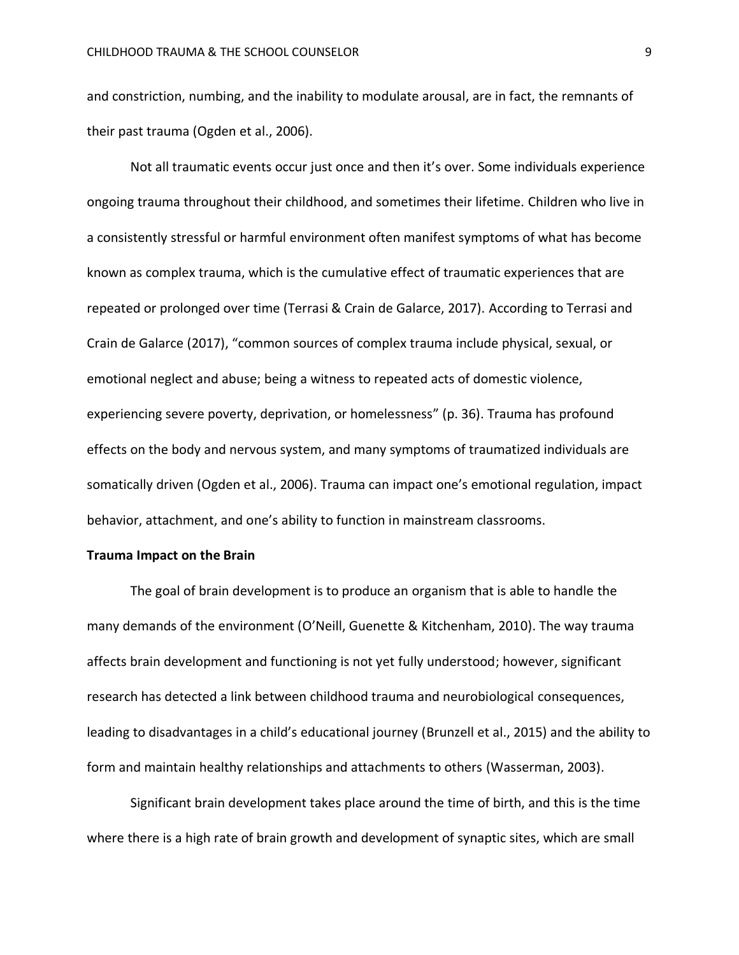and constriction, numbing, and the inability to modulate arousal, are in fact, the remnants of their past trauma (Ogden et al., 2006).

Not all traumatic events occur just once and then it's over. Some individuals experience ongoing trauma throughout their childhood, and sometimes their lifetime. Children who live in a consistently stressful or harmful environment often manifest symptoms of what has become known as complex trauma, which is the cumulative effect of traumatic experiences that are repeated or prolonged over time (Terrasi & Crain de Galarce, 2017). According to Terrasi and Crain de Galarce (2017), "common sources of complex trauma include physical, sexual, or emotional neglect and abuse; being a witness to repeated acts of domestic violence, experiencing severe poverty, deprivation, or homelessness" (p. 36). Trauma has profound effects on the body and nervous system, and many symptoms of traumatized individuals are somatically driven (Ogden et al., 2006). Trauma can impact one's emotional regulation, impact behavior, attachment, and one's ability to function in mainstream classrooms.

#### **Trauma Impact on the Brain**

The goal of brain development is to produce an organism that is able to handle the many demands of the environment (O'Neill, Guenette & Kitchenham, 2010). The way trauma affects brain development and functioning is not yet fully understood; however, significant research has detected a link between childhood trauma and neurobiological consequences, leading to disadvantages in a child's educational journey (Brunzell et al., 2015) and the ability to form and maintain healthy relationships and attachments to others (Wasserman, 2003).

Significant brain development takes place around the time of birth, and this is the time where there is a high rate of brain growth and development of synaptic sites, which are small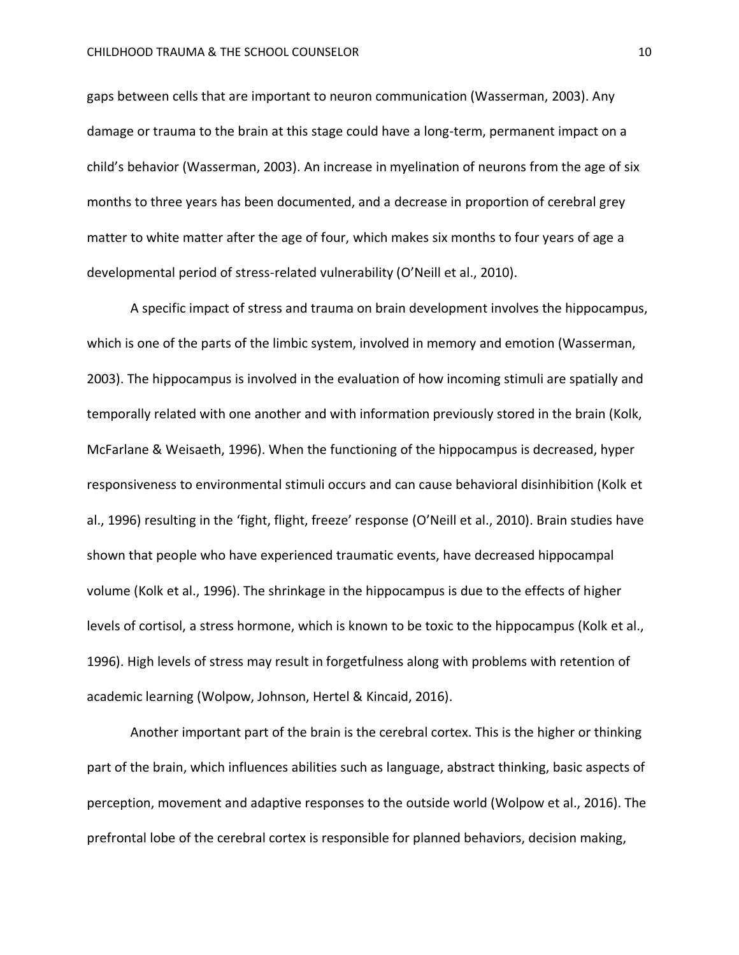gaps between cells that are important to neuron communication (Wasserman, 2003). Any damage or trauma to the brain at this stage could have a long-term, permanent impact on a child's behavior (Wasserman, 2003). An increase in myelination of neurons from the age of six months to three years has been documented, and a decrease in proportion of cerebral grey matter to white matter after the age of four, which makes six months to four years of age a developmental period of stress-related vulnerability (O'Neill et al., 2010).

A specific impact of stress and trauma on brain development involves the hippocampus, which is one of the parts of the limbic system, involved in memory and emotion (Wasserman, 2003). The hippocampus is involved in the evaluation of how incoming stimuli are spatially and temporally related with one another and with information previously stored in the brain (Kolk, McFarlane & Weisaeth, 1996). When the functioning of the hippocampus is decreased, hyper responsiveness to environmental stimuli occurs and can cause behavioral disinhibition (Kolk et al., 1996) resulting in the 'fight, flight, freeze' response (O'Neill et al., 2010). Brain studies have shown that people who have experienced traumatic events, have decreased hippocampal volume (Kolk et al., 1996). The shrinkage in the hippocampus is due to the effects of higher levels of cortisol, a stress hormone, which is known to be toxic to the hippocampus (Kolk et al., 1996). High levels of stress may result in forgetfulness along with problems with retention of academic learning (Wolpow, Johnson, Hertel & Kincaid, 2016).

Another important part of the brain is the cerebral cortex. This is the higher or thinking part of the brain, which influences abilities such as language, abstract thinking, basic aspects of perception, movement and adaptive responses to the outside world (Wolpow et al., 2016). The prefrontal lobe of the cerebral cortex is responsible for planned behaviors, decision making,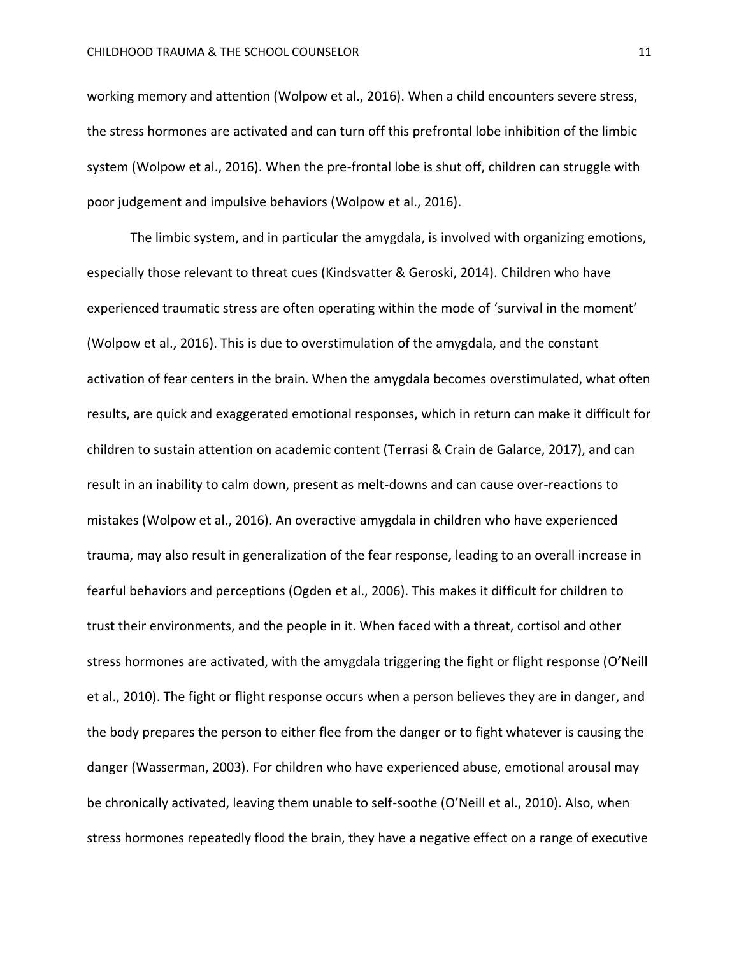working memory and attention (Wolpow et al., 2016). When a child encounters severe stress, the stress hormones are activated and can turn off this prefrontal lobe inhibition of the limbic system (Wolpow et al., 2016). When the pre-frontal lobe is shut off, children can struggle with poor judgement and impulsive behaviors (Wolpow et al., 2016).

The limbic system, and in particular the amygdala, is involved with organizing emotions, especially those relevant to threat cues (Kindsvatter & Geroski, 2014). Children who have experienced traumatic stress are often operating within the mode of 'survival in the moment' (Wolpow et al., 2016). This is due to overstimulation of the amygdala, and the constant activation of fear centers in the brain. When the amygdala becomes overstimulated, what often results, are quick and exaggerated emotional responses, which in return can make it difficult for children to sustain attention on academic content (Terrasi & Crain de Galarce, 2017), and can result in an inability to calm down, present as melt-downs and can cause over-reactions to mistakes (Wolpow et al., 2016). An overactive amygdala in children who have experienced trauma, may also result in generalization of the fear response, leading to an overall increase in fearful behaviors and perceptions (Ogden et al., 2006). This makes it difficult for children to trust their environments, and the people in it. When faced with a threat, cortisol and other stress hormones are activated, with the amygdala triggering the fight or flight response (O'Neill et al., 2010). The fight or flight response occurs when a person believes they are in danger, and the body prepares the person to either flee from the danger or to fight whatever is causing the danger (Wasserman, 2003). For children who have experienced abuse, emotional arousal may be chronically activated, leaving them unable to self-soothe (O'Neill et al., 2010). Also, when stress hormones repeatedly flood the brain, they have a negative effect on a range of executive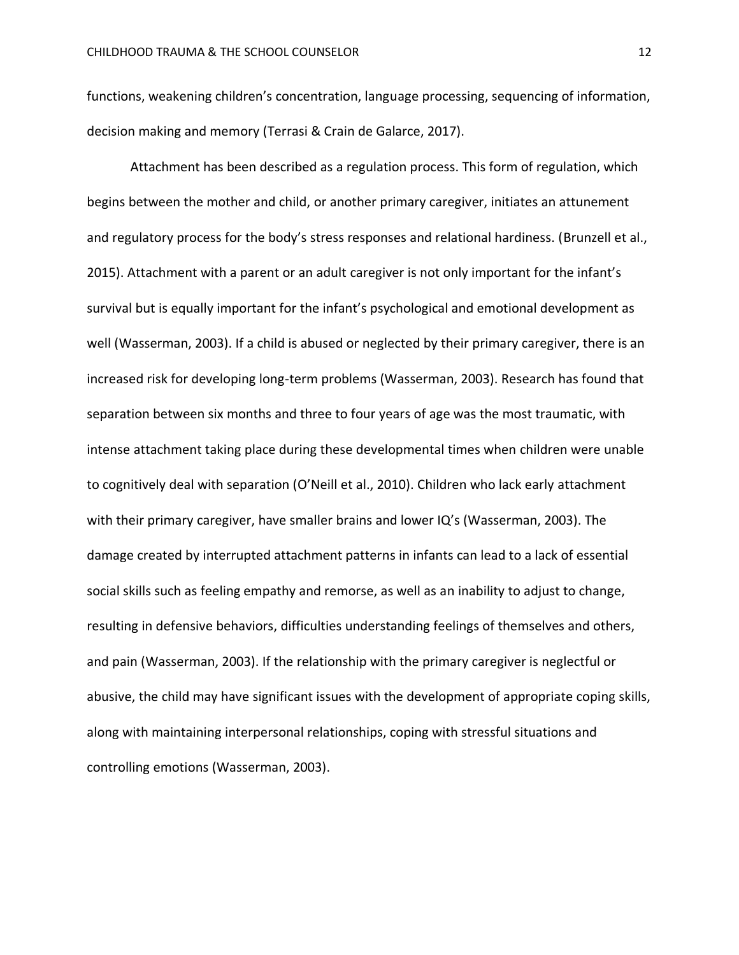functions, weakening children's concentration, language processing, sequencing of information, decision making and memory (Terrasi & Crain de Galarce, 2017).

Attachment has been described as a regulation process. This form of regulation, which begins between the mother and child, or another primary caregiver, initiates an attunement and regulatory process for the body's stress responses and relational hardiness. (Brunzell et al., 2015). Attachment with a parent or an adult caregiver is not only important for the infant's survival but is equally important for the infant's psychological and emotional development as well (Wasserman, 2003). If a child is abused or neglected by their primary caregiver, there is an increased risk for developing long-term problems (Wasserman, 2003). Research has found that separation between six months and three to four years of age was the most traumatic, with intense attachment taking place during these developmental times when children were unable to cognitively deal with separation (O'Neill et al., 2010). Children who lack early attachment with their primary caregiver, have smaller brains and lower IQ's (Wasserman, 2003). The damage created by interrupted attachment patterns in infants can lead to a lack of essential social skills such as feeling empathy and remorse, as well as an inability to adjust to change, resulting in defensive behaviors, difficulties understanding feelings of themselves and others, and pain (Wasserman, 2003). If the relationship with the primary caregiver is neglectful or abusive, the child may have significant issues with the development of appropriate coping skills, along with maintaining interpersonal relationships, coping with stressful situations and controlling emotions (Wasserman, 2003).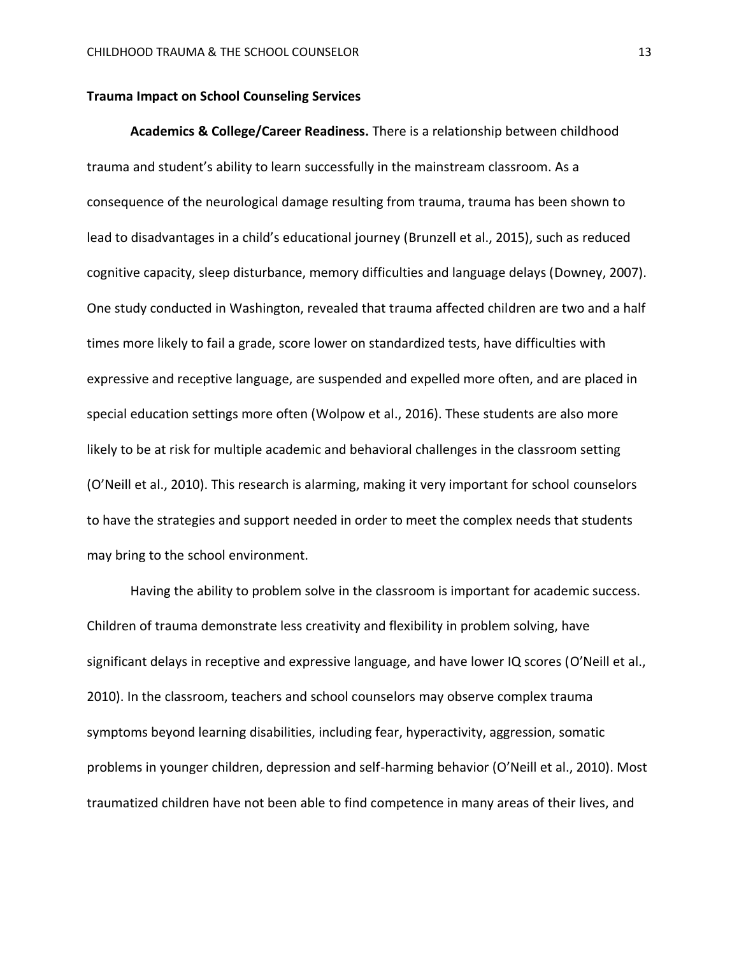## **Trauma Impact on School Counseling Services**

**Academics & College/Career Readiness.** There is a relationship between childhood trauma and student's ability to learn successfully in the mainstream classroom. As a consequence of the neurological damage resulting from trauma, trauma has been shown to lead to disadvantages in a child's educational journey (Brunzell et al., 2015), such as reduced cognitive capacity, sleep disturbance, memory difficulties and language delays (Downey, 2007). One study conducted in Washington, revealed that trauma affected children are two and a half times more likely to fail a grade, score lower on standardized tests, have difficulties with expressive and receptive language, are suspended and expelled more often, and are placed in special education settings more often (Wolpow et al., 2016). These students are also more likely to be at risk for multiple academic and behavioral challenges in the classroom setting (O'Neill et al., 2010). This research is alarming, making it very important for school counselors to have the strategies and support needed in order to meet the complex needs that students may bring to the school environment.

Having the ability to problem solve in the classroom is important for academic success. Children of trauma demonstrate less creativity and flexibility in problem solving, have significant delays in receptive and expressive language, and have lower IQ scores (O'Neill et al., 2010). In the classroom, teachers and school counselors may observe complex trauma symptoms beyond learning disabilities, including fear, hyperactivity, aggression, somatic problems in younger children, depression and self-harming behavior (O'Neill et al., 2010). Most traumatized children have not been able to find competence in many areas of their lives, and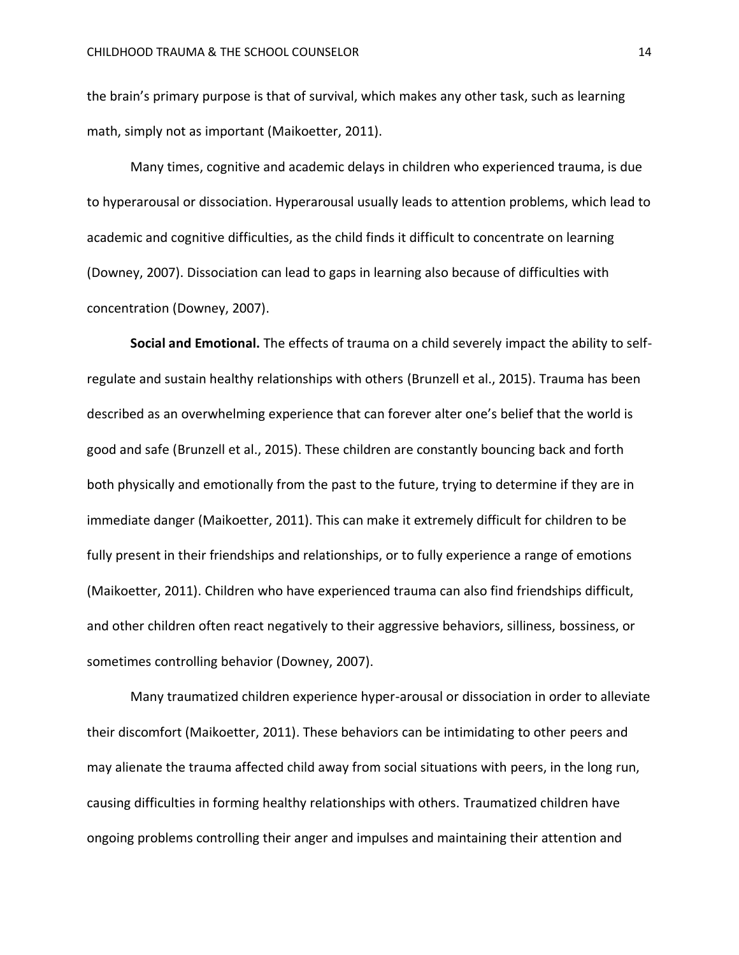the brain's primary purpose is that of survival, which makes any other task, such as learning math, simply not as important (Maikoetter, 2011).

Many times, cognitive and academic delays in children who experienced trauma, is due to hyperarousal or dissociation. Hyperarousal usually leads to attention problems, which lead to academic and cognitive difficulties, as the child finds it difficult to concentrate on learning (Downey, 2007). Dissociation can lead to gaps in learning also because of difficulties with concentration (Downey, 2007).

**Social and Emotional.** The effects of trauma on a child severely impact the ability to selfregulate and sustain healthy relationships with others (Brunzell et al., 2015). Trauma has been described as an overwhelming experience that can forever alter one's belief that the world is good and safe (Brunzell et al., 2015). These children are constantly bouncing back and forth both physically and emotionally from the past to the future, trying to determine if they are in immediate danger (Maikoetter, 2011). This can make it extremely difficult for children to be fully present in their friendships and relationships, or to fully experience a range of emotions (Maikoetter, 2011). Children who have experienced trauma can also find friendships difficult, and other children often react negatively to their aggressive behaviors, silliness, bossiness, or sometimes controlling behavior (Downey, 2007).

Many traumatized children experience hyper-arousal or dissociation in order to alleviate their discomfort (Maikoetter, 2011). These behaviors can be intimidating to other peers and may alienate the trauma affected child away from social situations with peers, in the long run, causing difficulties in forming healthy relationships with others. Traumatized children have ongoing problems controlling their anger and impulses and maintaining their attention and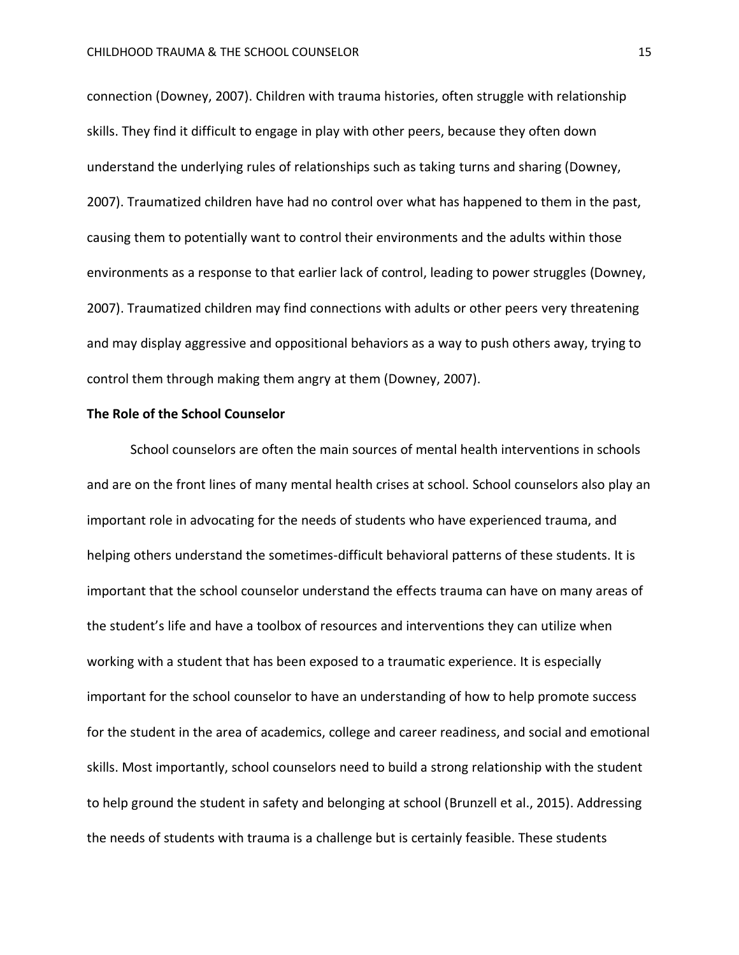connection (Downey, 2007). Children with trauma histories, often struggle with relationship skills. They find it difficult to engage in play with other peers, because they often down understand the underlying rules of relationships such as taking turns and sharing (Downey, 2007). Traumatized children have had no control over what has happened to them in the past, causing them to potentially want to control their environments and the adults within those environments as a response to that earlier lack of control, leading to power struggles (Downey, 2007). Traumatized children may find connections with adults or other peers very threatening and may display aggressive and oppositional behaviors as a way to push others away, trying to control them through making them angry at them (Downey, 2007).

## **The Role of the School Counselor**

School counselors are often the main sources of mental health interventions in schools and are on the front lines of many mental health crises at school. School counselors also play an important role in advocating for the needs of students who have experienced trauma, and helping others understand the sometimes-difficult behavioral patterns of these students. It is important that the school counselor understand the effects trauma can have on many areas of the student's life and have a toolbox of resources and interventions they can utilize when working with a student that has been exposed to a traumatic experience. It is especially important for the school counselor to have an understanding of how to help promote success for the student in the area of academics, college and career readiness, and social and emotional skills. Most importantly, school counselors need to build a strong relationship with the student to help ground the student in safety and belonging at school (Brunzell et al., 2015). Addressing the needs of students with trauma is a challenge but is certainly feasible. These students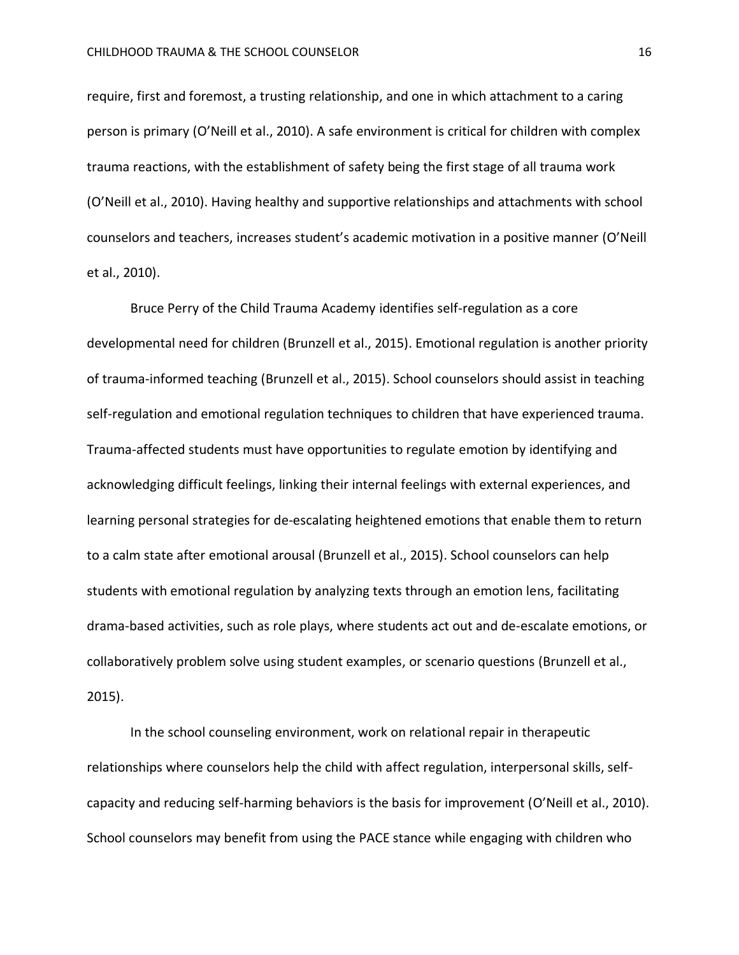require, first and foremost, a trusting relationship, and one in which attachment to a caring person is primary (O'Neill et al., 2010). A safe environment is critical for children with complex trauma reactions, with the establishment of safety being the first stage of all trauma work (O'Neill et al., 2010). Having healthy and supportive relationships and attachments with school counselors and teachers, increases student's academic motivation in a positive manner (O'Neill et al., 2010).

Bruce Perry of the Child Trauma Academy identifies self-regulation as a core developmental need for children (Brunzell et al., 2015). Emotional regulation is another priority of trauma-informed teaching (Brunzell et al., 2015). School counselors should assist in teaching self-regulation and emotional regulation techniques to children that have experienced trauma. Trauma-affected students must have opportunities to regulate emotion by identifying and acknowledging difficult feelings, linking their internal feelings with external experiences, and learning personal strategies for de-escalating heightened emotions that enable them to return to a calm state after emotional arousal (Brunzell et al., 2015). School counselors can help students with emotional regulation by analyzing texts through an emotion lens, facilitating drama-based activities, such as role plays, where students act out and de-escalate emotions, or collaboratively problem solve using student examples, or scenario questions (Brunzell et al., 2015).

In the school counseling environment, work on relational repair in therapeutic relationships where counselors help the child with affect regulation, interpersonal skills, selfcapacity and reducing self-harming behaviors is the basis for improvement (O'Neill et al., 2010). School counselors may benefit from using the PACE stance while engaging with children who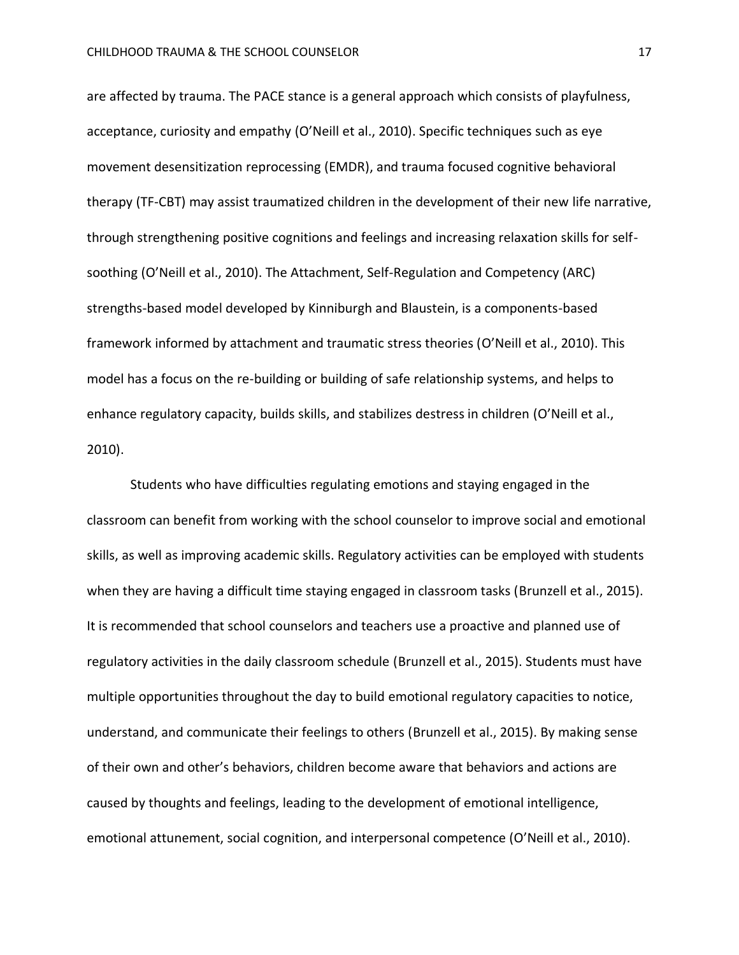are affected by trauma. The PACE stance is a general approach which consists of playfulness, acceptance, curiosity and empathy (O'Neill et al., 2010). Specific techniques such as eye movement desensitization reprocessing (EMDR), and trauma focused cognitive behavioral therapy (TF-CBT) may assist traumatized children in the development of their new life narrative, through strengthening positive cognitions and feelings and increasing relaxation skills for selfsoothing (O'Neill et al., 2010). The Attachment, Self-Regulation and Competency (ARC) strengths-based model developed by Kinniburgh and Blaustein, is a components-based framework informed by attachment and traumatic stress theories (O'Neill et al., 2010). This model has a focus on the re-building or building of safe relationship systems, and helps to enhance regulatory capacity, builds skills, and stabilizes destress in children (O'Neill et al., 2010).

Students who have difficulties regulating emotions and staying engaged in the classroom can benefit from working with the school counselor to improve social and emotional skills, as well as improving academic skills. Regulatory activities can be employed with students when they are having a difficult time staying engaged in classroom tasks (Brunzell et al., 2015). It is recommended that school counselors and teachers use a proactive and planned use of regulatory activities in the daily classroom schedule (Brunzell et al., 2015). Students must have multiple opportunities throughout the day to build emotional regulatory capacities to notice, understand, and communicate their feelings to others (Brunzell et al., 2015). By making sense of their own and other's behaviors, children become aware that behaviors and actions are caused by thoughts and feelings, leading to the development of emotional intelligence, emotional attunement, social cognition, and interpersonal competence (O'Neill et al., 2010).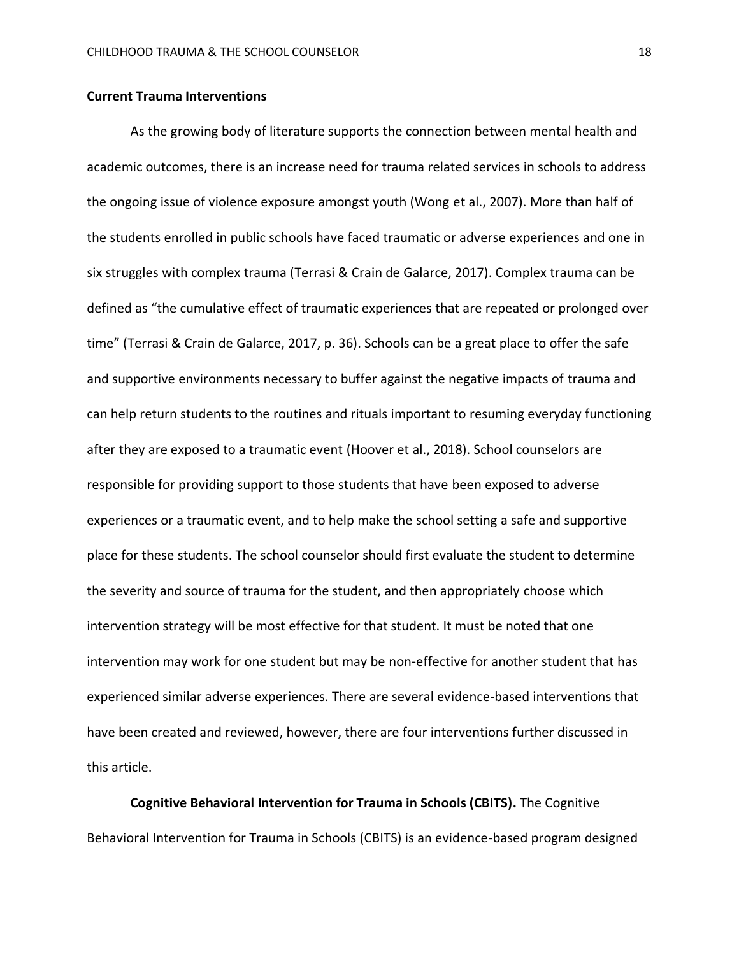## **Current Trauma Interventions**

As the growing body of literature supports the connection between mental health and academic outcomes, there is an increase need for trauma related services in schools to address the ongoing issue of violence exposure amongst youth (Wong et al., 2007). More than half of the students enrolled in public schools have faced traumatic or adverse experiences and one in six struggles with complex trauma (Terrasi & Crain de Galarce, 2017). Complex trauma can be defined as "the cumulative effect of traumatic experiences that are repeated or prolonged over time" (Terrasi & Crain de Galarce, 2017, p. 36). Schools can be a great place to offer the safe and supportive environments necessary to buffer against the negative impacts of trauma and can help return students to the routines and rituals important to resuming everyday functioning after they are exposed to a traumatic event (Hoover et al., 2018). School counselors are responsible for providing support to those students that have been exposed to adverse experiences or a traumatic event, and to help make the school setting a safe and supportive place for these students. The school counselor should first evaluate the student to determine the severity and source of trauma for the student, and then appropriately choose which intervention strategy will be most effective for that student. It must be noted that one intervention may work for one student but may be non-effective for another student that has experienced similar adverse experiences. There are several evidence-based interventions that have been created and reviewed, however, there are four interventions further discussed in this article.

**Cognitive Behavioral Intervention for Trauma in Schools (CBITS).** The Cognitive Behavioral Intervention for Trauma in Schools (CBITS) is an evidence-based program designed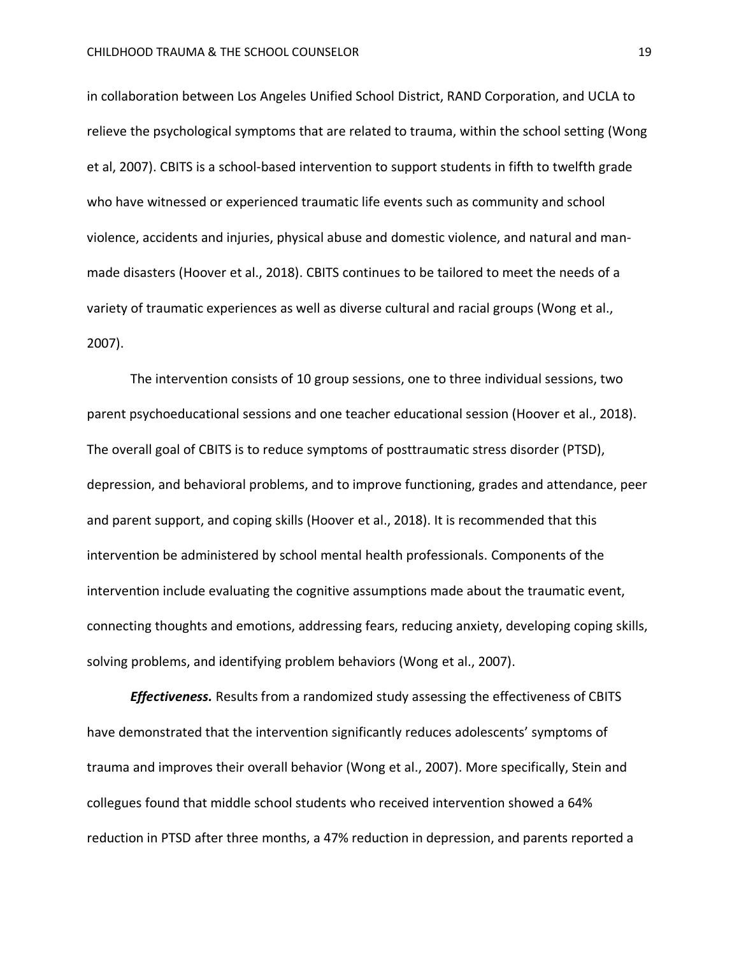in collaboration between Los Angeles Unified School District, RAND Corporation, and UCLA to relieve the psychological symptoms that are related to trauma, within the school setting (Wong et al, 2007). CBITS is a school-based intervention to support students in fifth to twelfth grade who have witnessed or experienced traumatic life events such as community and school violence, accidents and injuries, physical abuse and domestic violence, and natural and manmade disasters (Hoover et al., 2018). CBITS continues to be tailored to meet the needs of a variety of traumatic experiences as well as diverse cultural and racial groups (Wong et al., 2007).

The intervention consists of 10 group sessions, one to three individual sessions, two parent psychoeducational sessions and one teacher educational session (Hoover et al., 2018). The overall goal of CBITS is to reduce symptoms of posttraumatic stress disorder (PTSD), depression, and behavioral problems, and to improve functioning, grades and attendance, peer and parent support, and coping skills (Hoover et al., 2018). It is recommended that this intervention be administered by school mental health professionals. Components of the intervention include evaluating the cognitive assumptions made about the traumatic event, connecting thoughts and emotions, addressing fears, reducing anxiety, developing coping skills, solving problems, and identifying problem behaviors (Wong et al., 2007).

*Effectiveness.* Results from a randomized study assessing the effectiveness of CBITS have demonstrated that the intervention significantly reduces adolescents' symptoms of trauma and improves their overall behavior (Wong et al., 2007). More specifically, Stein and collegues found that middle school students who received intervention showed a 64% reduction in PTSD after three months, a 47% reduction in depression, and parents reported a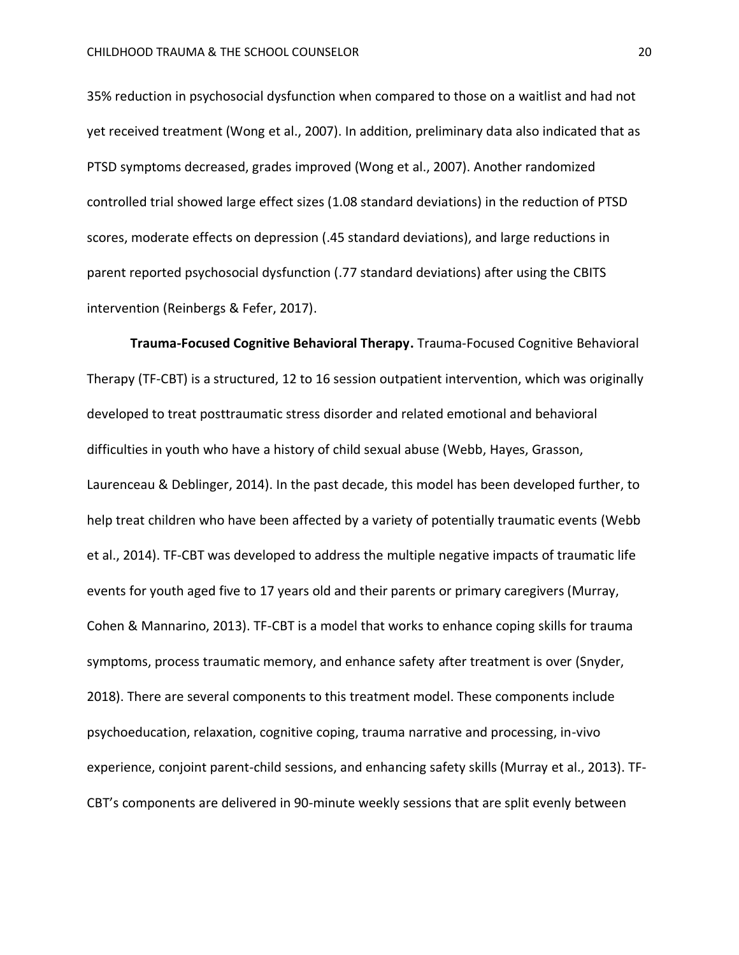35% reduction in psychosocial dysfunction when compared to those on a waitlist and had not yet received treatment (Wong et al., 2007). In addition, preliminary data also indicated that as PTSD symptoms decreased, grades improved (Wong et al., 2007). Another randomized controlled trial showed large effect sizes (1.08 standard deviations) in the reduction of PTSD scores, moderate effects on depression (.45 standard deviations), and large reductions in parent reported psychosocial dysfunction (.77 standard deviations) after using the CBITS intervention (Reinbergs & Fefer, 2017).

**Trauma-Focused Cognitive Behavioral Therapy.** Trauma-Focused Cognitive Behavioral Therapy (TF-CBT) is a structured, 12 to 16 session outpatient intervention, which was originally developed to treat posttraumatic stress disorder and related emotional and behavioral difficulties in youth who have a history of child sexual abuse (Webb, Hayes, Grasson, Laurenceau & Deblinger, 2014). In the past decade, this model has been developed further, to help treat children who have been affected by a variety of potentially traumatic events (Webb et al., 2014). TF-CBT was developed to address the multiple negative impacts of traumatic life events for youth aged five to 17 years old and their parents or primary caregivers (Murray, Cohen & Mannarino, 2013). TF-CBT is a model that works to enhance coping skills for trauma symptoms, process traumatic memory, and enhance safety after treatment is over (Snyder, 2018). There are several components to this treatment model. These components include psychoeducation, relaxation, cognitive coping, trauma narrative and processing, in-vivo experience, conjoint parent-child sessions, and enhancing safety skills (Murray et al., 2013). TF-CBT's components are delivered in 90-minute weekly sessions that are split evenly between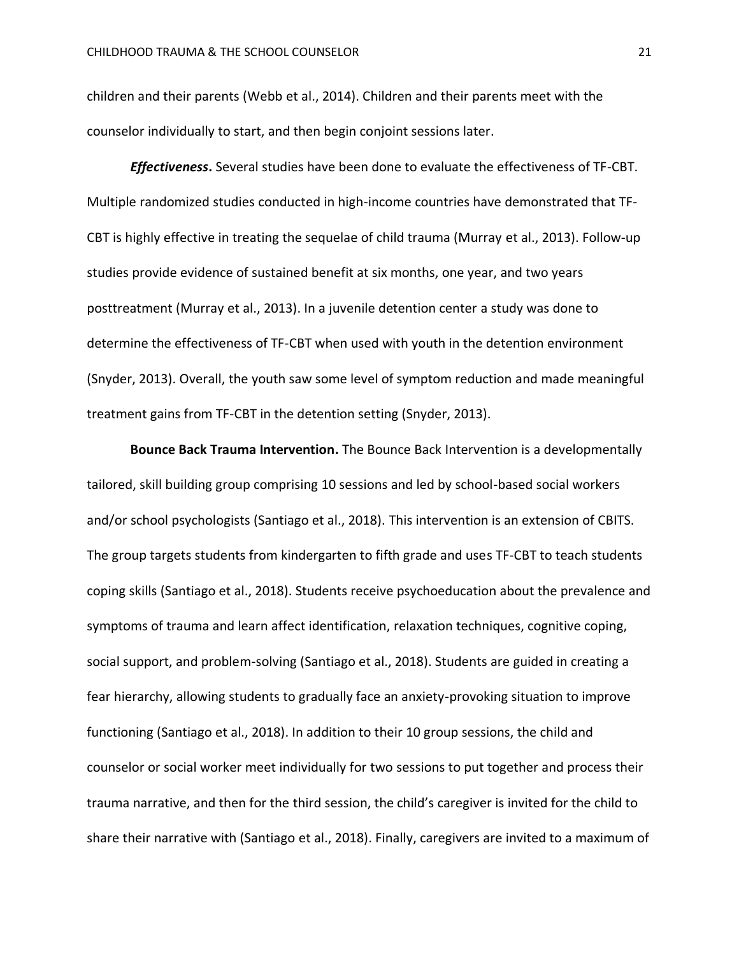children and their parents (Webb et al., 2014). Children and their parents meet with the counselor individually to start, and then begin conjoint sessions later.

*Effectiveness***.** Several studies have been done to evaluate the effectiveness of TF-CBT. Multiple randomized studies conducted in high-income countries have demonstrated that TF-CBT is highly effective in treating the sequelae of child trauma (Murray et al., 2013). Follow-up studies provide evidence of sustained benefit at six months, one year, and two years posttreatment (Murray et al., 2013). In a juvenile detention center a study was done to determine the effectiveness of TF-CBT when used with youth in the detention environment (Snyder, 2013). Overall, the youth saw some level of symptom reduction and made meaningful treatment gains from TF-CBT in the detention setting (Snyder, 2013).

**Bounce Back Trauma Intervention.** The Bounce Back Intervention is a developmentally tailored, skill building group comprising 10 sessions and led by school-based social workers and/or school psychologists (Santiago et al., 2018). This intervention is an extension of CBITS. The group targets students from kindergarten to fifth grade and uses TF-CBT to teach students coping skills (Santiago et al., 2018). Students receive psychoeducation about the prevalence and symptoms of trauma and learn affect identification, relaxation techniques, cognitive coping, social support, and problem-solving (Santiago et al., 2018). Students are guided in creating a fear hierarchy, allowing students to gradually face an anxiety-provoking situation to improve functioning (Santiago et al., 2018). In addition to their 10 group sessions, the child and counselor or social worker meet individually for two sessions to put together and process their trauma narrative, and then for the third session, the child's caregiver is invited for the child to share their narrative with (Santiago et al., 2018). Finally, caregivers are invited to a maximum of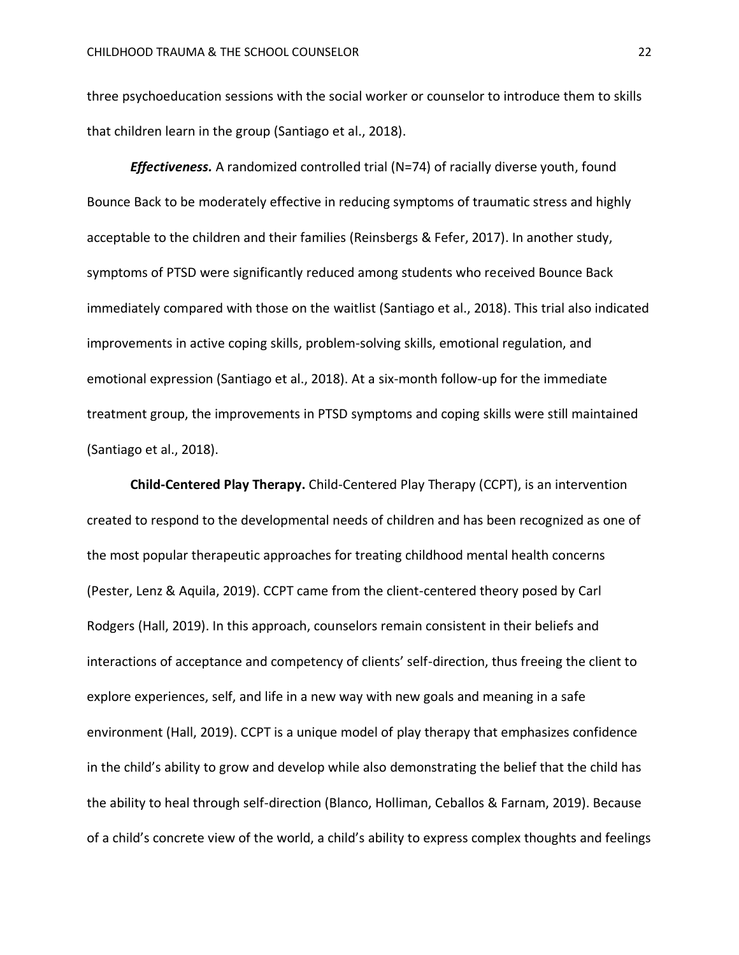three psychoeducation sessions with the social worker or counselor to introduce them to skills that children learn in the group (Santiago et al., 2018).

*Effectiveness.* A randomized controlled trial (N=74) of racially diverse youth, found Bounce Back to be moderately effective in reducing symptoms of traumatic stress and highly acceptable to the children and their families (Reinsbergs & Fefer, 2017). In another study, symptoms of PTSD were significantly reduced among students who received Bounce Back immediately compared with those on the waitlist (Santiago et al., 2018). This trial also indicated improvements in active coping skills, problem-solving skills, emotional regulation, and emotional expression (Santiago et al., 2018). At a six-month follow-up for the immediate treatment group, the improvements in PTSD symptoms and coping skills were still maintained (Santiago et al., 2018).

**Child-Centered Play Therapy.** Child-Centered Play Therapy (CCPT), is an intervention created to respond to the developmental needs of children and has been recognized as one of the most popular therapeutic approaches for treating childhood mental health concerns (Pester, Lenz & Aquila, 2019). CCPT came from the client-centered theory posed by Carl Rodgers (Hall, 2019). In this approach, counselors remain consistent in their beliefs and interactions of acceptance and competency of clients' self-direction, thus freeing the client to explore experiences, self, and life in a new way with new goals and meaning in a safe environment (Hall, 2019). CCPT is a unique model of play therapy that emphasizes confidence in the child's ability to grow and develop while also demonstrating the belief that the child has the ability to heal through self-direction (Blanco, Holliman, Ceballos & Farnam, 2019). Because of a child's concrete view of the world, a child's ability to express complex thoughts and feelings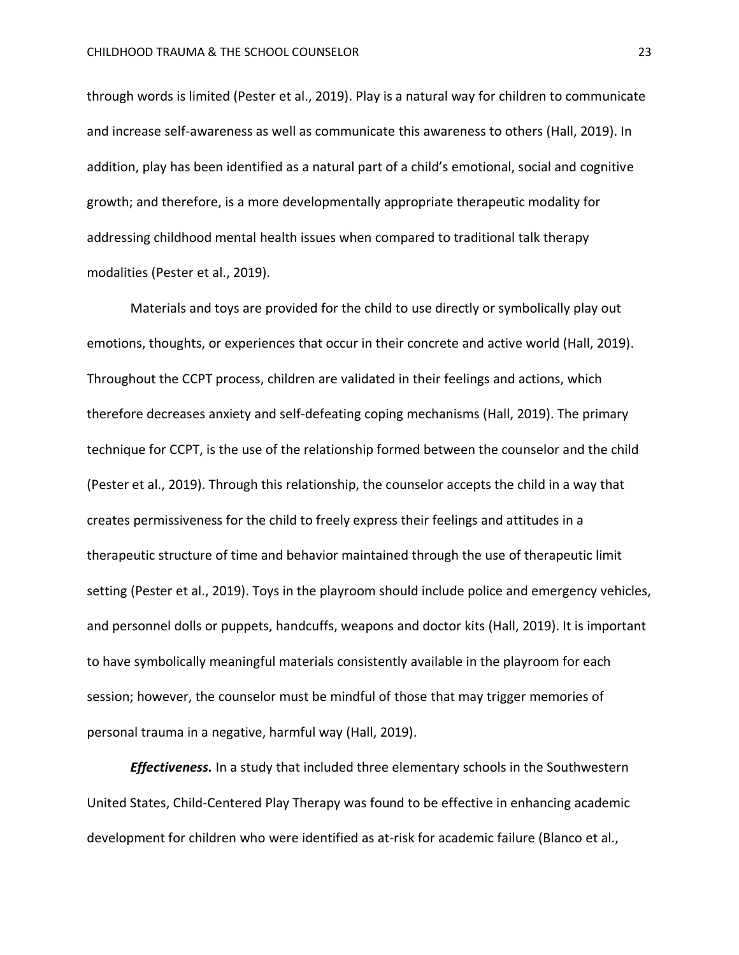through words is limited (Pester et al., 2019). Play is a natural way for children to communicate and increase self-awareness as well as communicate this awareness to others (Hall, 2019). In addition, play has been identified as a natural part of a child's emotional, social and cognitive growth; and therefore, is a more developmentally appropriate therapeutic modality for addressing childhood mental health issues when compared to traditional talk therapy modalities (Pester et al., 2019).

Materials and toys are provided for the child to use directly or symbolically play out emotions, thoughts, or experiences that occur in their concrete and active world (Hall, 2019). Throughout the CCPT process, children are validated in their feelings and actions, which therefore decreases anxiety and self-defeating coping mechanisms (Hall, 2019). The primary technique for CCPT, is the use of the relationship formed between the counselor and the child (Pester et al., 2019). Through this relationship, the counselor accepts the child in a way that creates permissiveness for the child to freely express their feelings and attitudes in a therapeutic structure of time and behavior maintained through the use of therapeutic limit setting (Pester et al., 2019). Toys in the playroom should include police and emergency vehicles, and personnel dolls or puppets, handcuffs, weapons and doctor kits (Hall, 2019). It is important to have symbolically meaningful materials consistently available in the playroom for each session; however, the counselor must be mindful of those that may trigger memories of personal trauma in a negative, harmful way (Hall, 2019).

*Effectiveness.* In a study that included three elementary schools in the Southwestern United States, Child-Centered Play Therapy was found to be effective in enhancing academic development for children who were identified as at-risk for academic failure (Blanco et al.,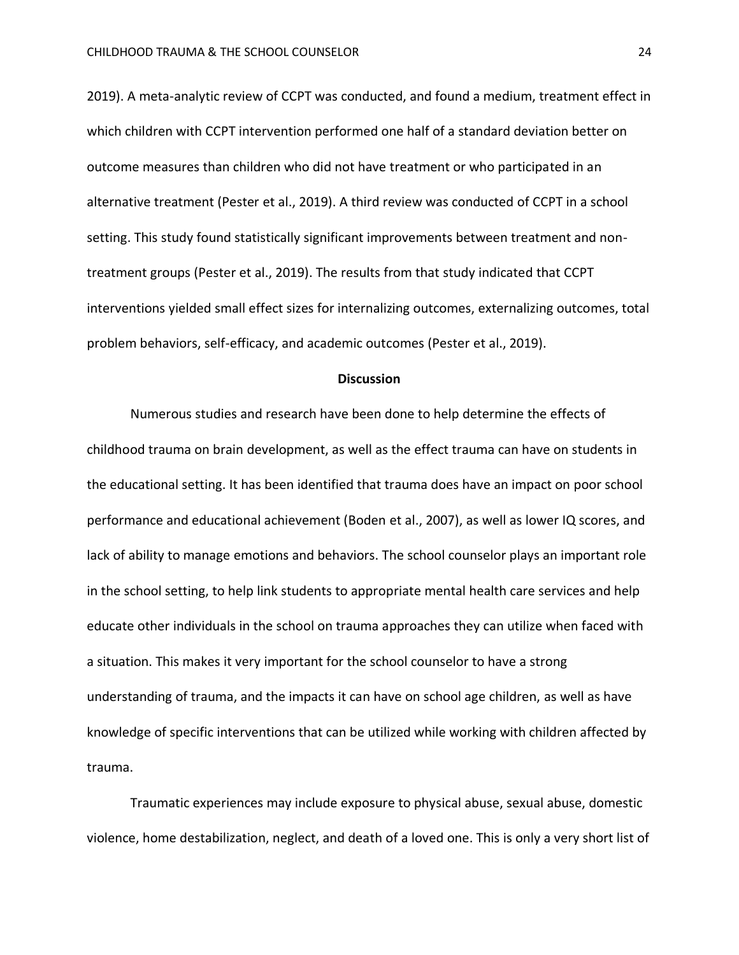2019). A meta-analytic review of CCPT was conducted, and found a medium, treatment effect in which children with CCPT intervention performed one half of a standard deviation better on outcome measures than children who did not have treatment or who participated in an alternative treatment (Pester et al., 2019). A third review was conducted of CCPT in a school setting. This study found statistically significant improvements between treatment and nontreatment groups (Pester et al., 2019). The results from that study indicated that CCPT interventions yielded small effect sizes for internalizing outcomes, externalizing outcomes, total problem behaviors, self-efficacy, and academic outcomes (Pester et al., 2019).

#### **Discussion**

Numerous studies and research have been done to help determine the effects of childhood trauma on brain development, as well as the effect trauma can have on students in the educational setting. It has been identified that trauma does have an impact on poor school performance and educational achievement (Boden et al., 2007), as well as lower IQ scores, and lack of ability to manage emotions and behaviors. The school counselor plays an important role in the school setting, to help link students to appropriate mental health care services and help educate other individuals in the school on trauma approaches they can utilize when faced with a situation. This makes it very important for the school counselor to have a strong understanding of trauma, and the impacts it can have on school age children, as well as have knowledge of specific interventions that can be utilized while working with children affected by trauma.

Traumatic experiences may include exposure to physical abuse, sexual abuse, domestic violence, home destabilization, neglect, and death of a loved one. This is only a very short list of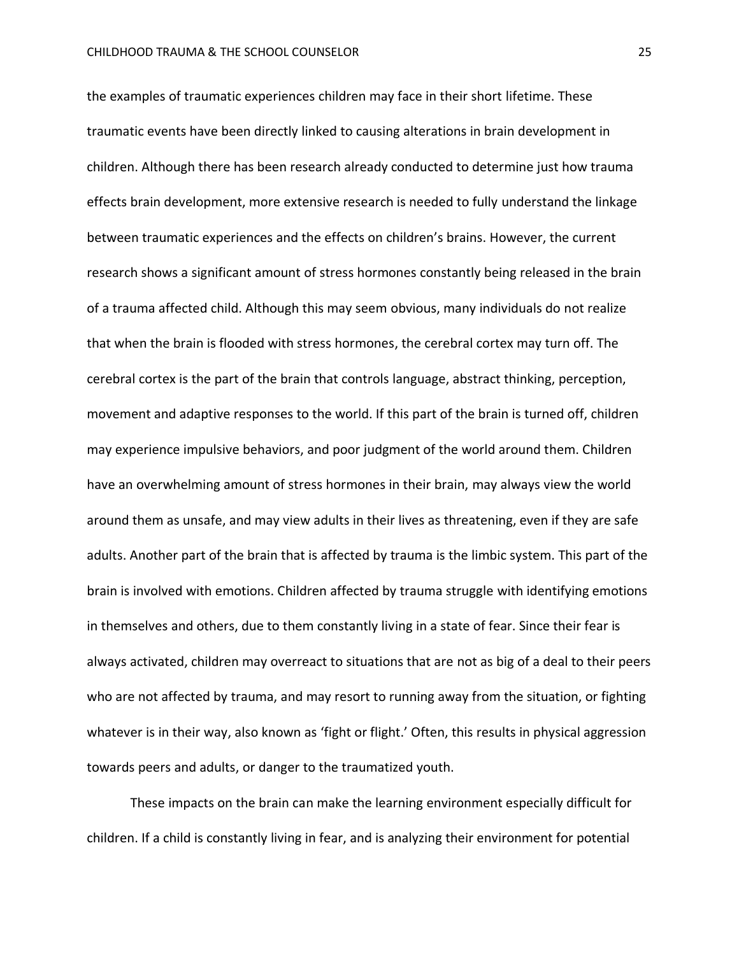the examples of traumatic experiences children may face in their short lifetime. These traumatic events have been directly linked to causing alterations in brain development in children. Although there has been research already conducted to determine just how trauma effects brain development, more extensive research is needed to fully understand the linkage between traumatic experiences and the effects on children's brains. However, the current research shows a significant amount of stress hormones constantly being released in the brain of a trauma affected child. Although this may seem obvious, many individuals do not realize that when the brain is flooded with stress hormones, the cerebral cortex may turn off. The cerebral cortex is the part of the brain that controls language, abstract thinking, perception, movement and adaptive responses to the world. If this part of the brain is turned off, children may experience impulsive behaviors, and poor judgment of the world around them. Children have an overwhelming amount of stress hormones in their brain, may always view the world around them as unsafe, and may view adults in their lives as threatening, even if they are safe adults. Another part of the brain that is affected by trauma is the limbic system. This part of the brain is involved with emotions. Children affected by trauma struggle with identifying emotions in themselves and others, due to them constantly living in a state of fear. Since their fear is always activated, children may overreact to situations that are not as big of a deal to their peers who are not affected by trauma, and may resort to running away from the situation, or fighting whatever is in their way, also known as 'fight or flight.' Often, this results in physical aggression towards peers and adults, or danger to the traumatized youth.

These impacts on the brain can make the learning environment especially difficult for children. If a child is constantly living in fear, and is analyzing their environment for potential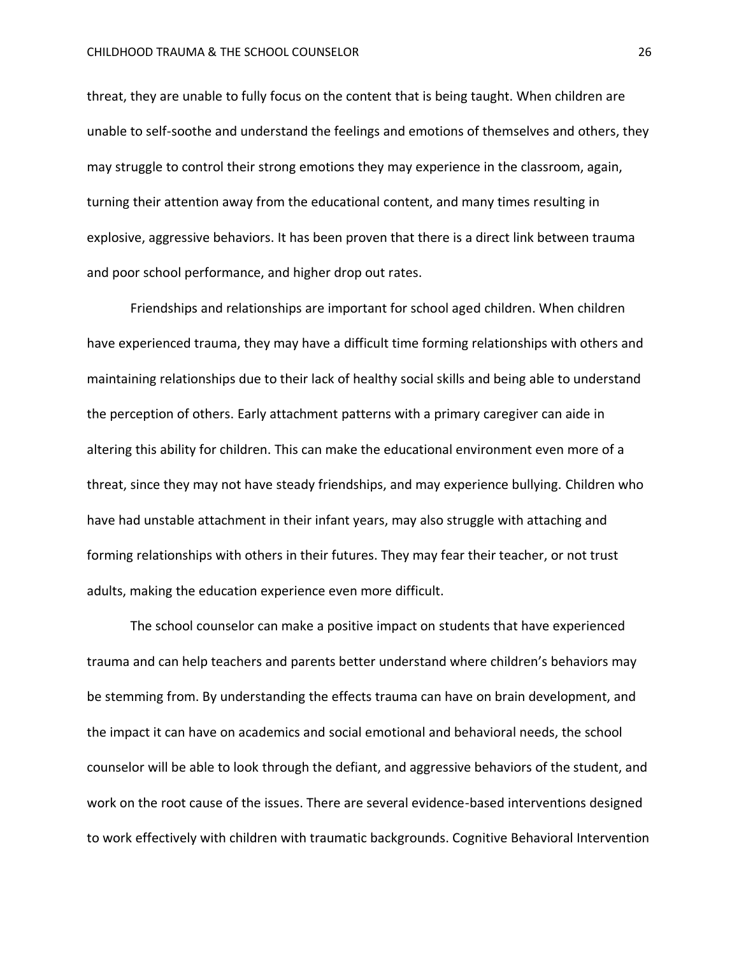threat, they are unable to fully focus on the content that is being taught. When children are unable to self-soothe and understand the feelings and emotions of themselves and others, they may struggle to control their strong emotions they may experience in the classroom, again, turning their attention away from the educational content, and many times resulting in explosive, aggressive behaviors. It has been proven that there is a direct link between trauma and poor school performance, and higher drop out rates.

Friendships and relationships are important for school aged children. When children have experienced trauma, they may have a difficult time forming relationships with others and maintaining relationships due to their lack of healthy social skills and being able to understand the perception of others. Early attachment patterns with a primary caregiver can aide in altering this ability for children. This can make the educational environment even more of a threat, since they may not have steady friendships, and may experience bullying. Children who have had unstable attachment in their infant years, may also struggle with attaching and forming relationships with others in their futures. They may fear their teacher, or not trust adults, making the education experience even more difficult.

The school counselor can make a positive impact on students that have experienced trauma and can help teachers and parents better understand where children's behaviors may be stemming from. By understanding the effects trauma can have on brain development, and the impact it can have on academics and social emotional and behavioral needs, the school counselor will be able to look through the defiant, and aggressive behaviors of the student, and work on the root cause of the issues. There are several evidence-based interventions designed to work effectively with children with traumatic backgrounds. Cognitive Behavioral Intervention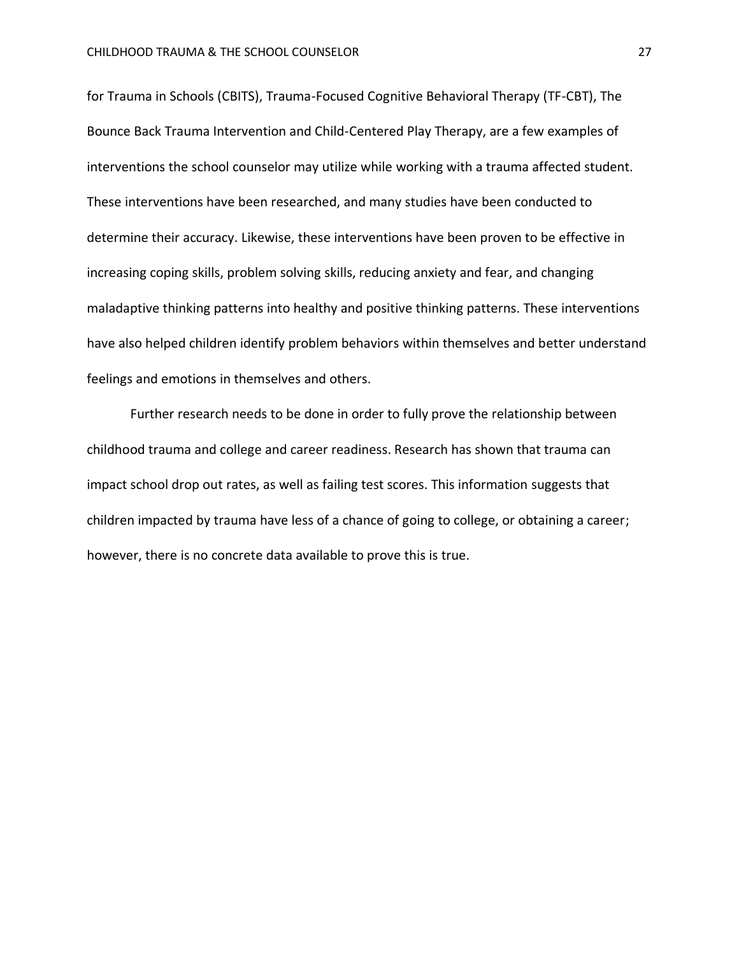for Trauma in Schools (CBITS), Trauma-Focused Cognitive Behavioral Therapy (TF-CBT), The Bounce Back Trauma Intervention and Child-Centered Play Therapy, are a few examples of interventions the school counselor may utilize while working with a trauma affected student. These interventions have been researched, and many studies have been conducted to determine their accuracy. Likewise, these interventions have been proven to be effective in increasing coping skills, problem solving skills, reducing anxiety and fear, and changing maladaptive thinking patterns into healthy and positive thinking patterns. These interventions have also helped children identify problem behaviors within themselves and better understand feelings and emotions in themselves and others.

Further research needs to be done in order to fully prove the relationship between childhood trauma and college and career readiness. Research has shown that trauma can impact school drop out rates, as well as failing test scores. This information suggests that children impacted by trauma have less of a chance of going to college, or obtaining a career; however, there is no concrete data available to prove this is true.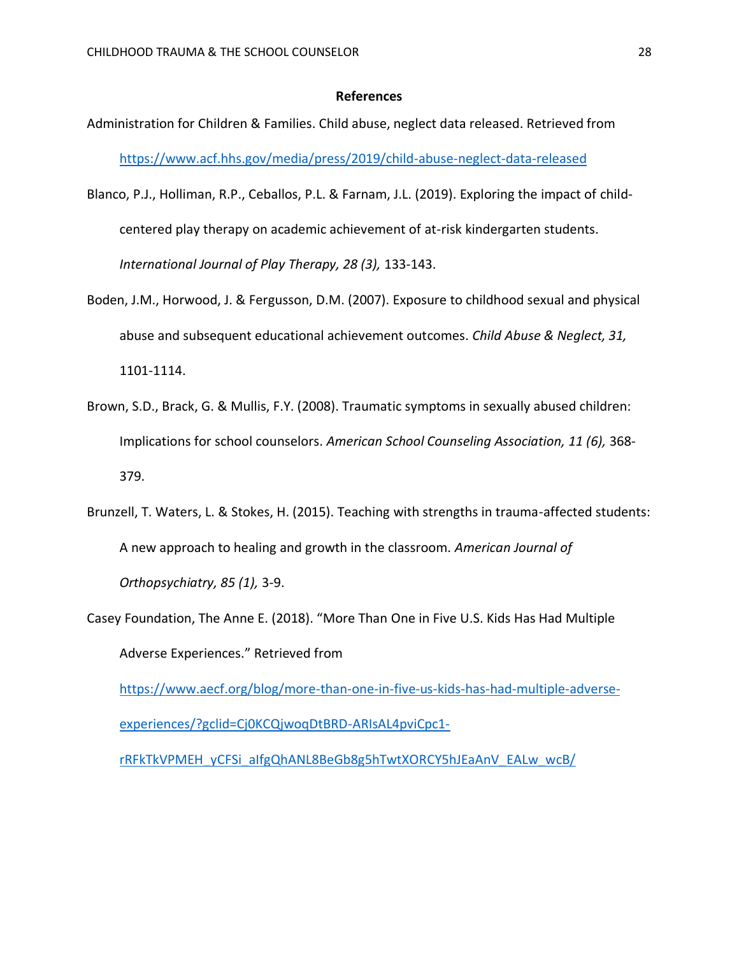#### **References**

- Administration for Children & Families. Child abuse, neglect data released. Retrieved from <https://www.acf.hhs.gov/media/press/2019/child-abuse-neglect-data-released>
- Blanco, P.J., Holliman, R.P., Ceballos, P.L. & Farnam, J.L. (2019). Exploring the impact of childcentered play therapy on academic achievement of at-risk kindergarten students. *International Journal of Play Therapy, 28 (3),* 133-143.
- Boden, J.M., Horwood, J. & Fergusson, D.M. (2007). Exposure to childhood sexual and physical abuse and subsequent educational achievement outcomes. *Child Abuse & Neglect, 31,*  1101-1114.
- Brown, S.D., Brack, G. & Mullis, F.Y. (2008). Traumatic symptoms in sexually abused children: Implications for school counselors. *American School Counseling Association, 11 (6),* 368- 379.
- Brunzell, T. Waters, L. & Stokes, H. (2015). Teaching with strengths in trauma-affected students: A new approach to healing and growth in the classroom. *American Journal of Orthopsychiatry, 85 (1),* 3-9.
- Casey Foundation, The Anne E. (2018). "More Than One in Five U.S. Kids Has Had Multiple Adverse Experiences." Retrieved from [https://www.aecf.org/blog/more-than-one-in-five-us-kids-has-had-multiple-adverse-](https://www.aecf.org/blog/more-than-one-in-five-us-kids-has-had-multiple-adverse-experiences/?gclid=Cj0KCQjwoqDtBRD-ARIsAL4pviCpc1-rRFkTkVPMEH_yCFSi_aIfgQhANL8BeGb8g5hTwtXORCY5hJEaAnV_EALw_wcB/)

[experiences/?gclid=Cj0KCQjwoqDtBRD-ARIsAL4pviCpc1-](https://www.aecf.org/blog/more-than-one-in-five-us-kids-has-had-multiple-adverse-experiences/?gclid=Cj0KCQjwoqDtBRD-ARIsAL4pviCpc1-rRFkTkVPMEH_yCFSi_aIfgQhANL8BeGb8g5hTwtXORCY5hJEaAnV_EALw_wcB/)

[rRFkTkVPMEH\\_yCFSi\\_aIfgQhANL8BeGb8g5hTwtXORCY5hJEaAnV\\_EALw\\_wcB/](https://www.aecf.org/blog/more-than-one-in-five-us-kids-has-had-multiple-adverse-experiences/?gclid=Cj0KCQjwoqDtBRD-ARIsAL4pviCpc1-rRFkTkVPMEH_yCFSi_aIfgQhANL8BeGb8g5hTwtXORCY5hJEaAnV_EALw_wcB/)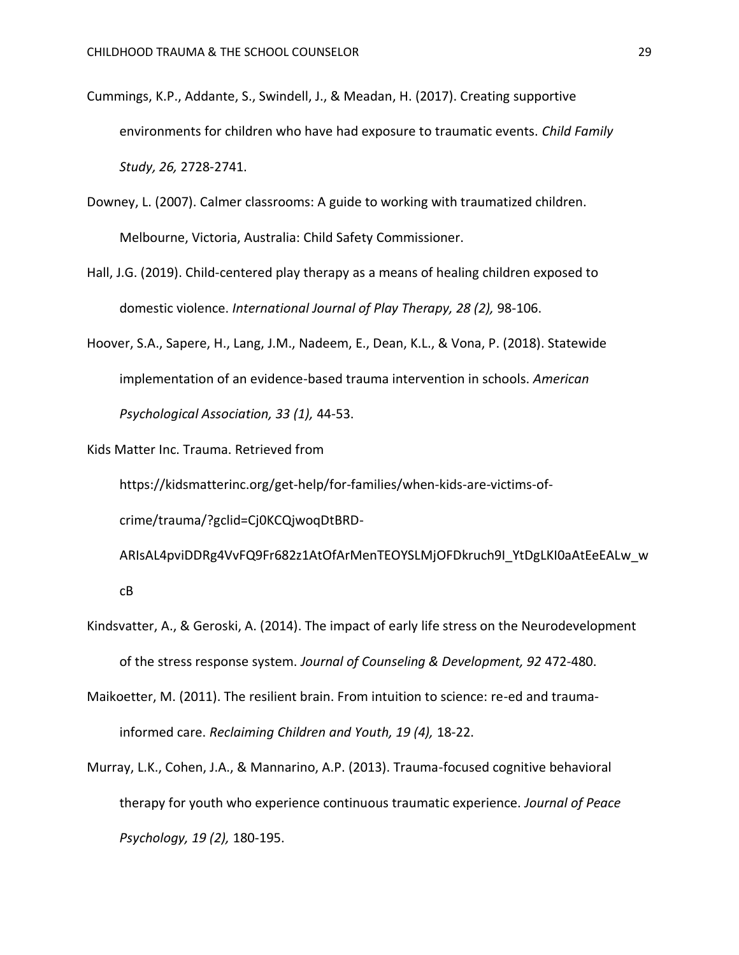- Cummings, K.P., Addante, S., Swindell, J., & Meadan, H. (2017). Creating supportive environments for children who have had exposure to traumatic events. *Child Family Study, 26,* 2728-2741.
- Downey, L. (2007). Calmer classrooms: A guide to working with traumatized children. Melbourne, Victoria, Australia: Child Safety Commissioner.
- Hall, J.G. (2019). Child-centered play therapy as a means of healing children exposed to domestic violence. *International Journal of Play Therapy, 28 (2),* 98-106.
- Hoover, S.A., Sapere, H., Lang, J.M., Nadeem, E., Dean, K.L., & Vona, P. (2018). Statewide implementation of an evidence-based trauma intervention in schools. *American Psychological Association, 33 (1),* 44-53.

Kids Matter Inc. Trauma. Retrieved from

https://kidsmatterinc.org/get-help/for-families/when-kids-are-victims-of-

crime/trauma/?gclid=Cj0KCQjwoqDtBRD-

ARIsAL4pviDDRg4VvFQ9Fr682z1AtOfArMenTEOYSLMjOFDkruch9I\_YtDgLKI0aAtEeEALw\_w cB

- Kindsvatter, A., & Geroski, A. (2014). The impact of early life stress on the Neurodevelopment of the stress response system. *Journal of Counseling & Development, 92* 472-480.
- Maikoetter, M. (2011). The resilient brain. From intuition to science: re-ed and traumainformed care. *Reclaiming Children and Youth, 19 (4),* 18-22.
- Murray, L.K., Cohen, J.A., & Mannarino, A.P. (2013). Trauma-focused cognitive behavioral therapy for youth who experience continuous traumatic experience. *Journal of Peace Psychology, 19 (2),* 180-195.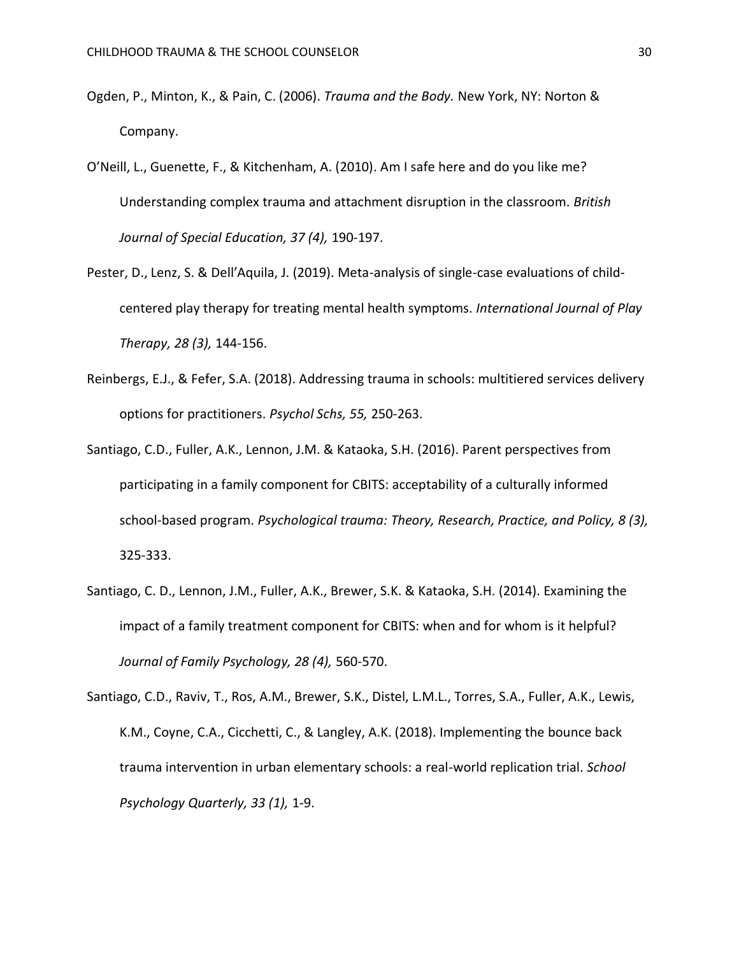- Ogden, P., Minton, K., & Pain, C. (2006). *Trauma and the Body.* New York, NY: Norton & Company.
- O'Neill, L., Guenette, F., & Kitchenham, A. (2010). Am I safe here and do you like me? Understanding complex trauma and attachment disruption in the classroom. *British Journal of Special Education, 37 (4),* 190-197.
- Pester, D., Lenz, S. & Dell'Aquila, J. (2019). Meta-analysis of single-case evaluations of childcentered play therapy for treating mental health symptoms. *International Journal of Play Therapy, 28 (3),* 144-156.
- Reinbergs, E.J., & Fefer, S.A. (2018). Addressing trauma in schools: multitiered services delivery options for practitioners. *Psychol Schs, 55,* 250-263.
- Santiago, C.D., Fuller, A.K., Lennon, J.M. & Kataoka, S.H. (2016). Parent perspectives from participating in a family component for CBITS: acceptability of a culturally informed school-based program. *Psychological trauma: Theory, Research, Practice, and Policy, 8 (3),*  325-333.
- Santiago, C. D., Lennon, J.M., Fuller, A.K., Brewer, S.K. & Kataoka, S.H. (2014). Examining the impact of a family treatment component for CBITS: when and for whom is it helpful? *Journal of Family Psychology, 28 (4),* 560-570.

Santiago, C.D., Raviv, T., Ros, A.M., Brewer, S.K., Distel, L.M.L., Torres, S.A., Fuller, A.K., Lewis, K.M., Coyne, C.A., Cicchetti, C., & Langley, A.K. (2018). Implementing the bounce back trauma intervention in urban elementary schools: a real-world replication trial. *School Psychology Quarterly, 33 (1),* 1-9.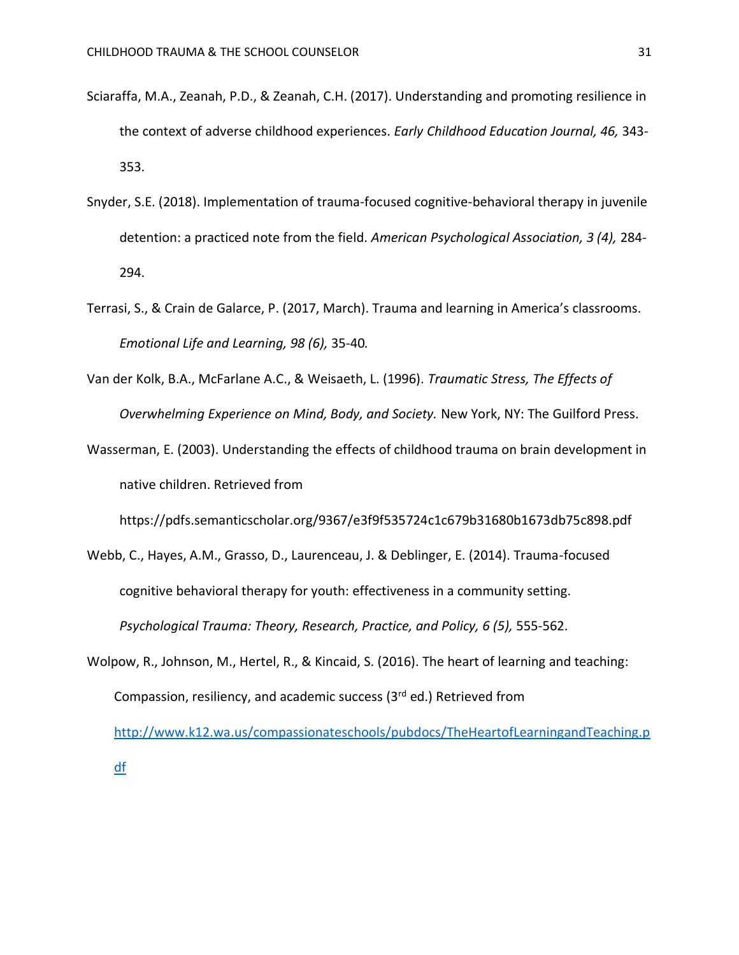- Sciaraffa, M.A., Zeanah, P.D., & Zeanah, C.H. (2017). Understanding and promoting resilience in the context of adverse childhood experiences. *Early Childhood Education Journal, 46,* 343- 353.
- Snyder, S.E. (2018). Implementation of trauma-focused cognitive-behavioral therapy in juvenile detention: a practiced note from the field. *American Psychological Association, 3 (4),* 284- 294.
- Terrasi, S., & Crain de Galarce, P. (2017, March). Trauma and learning in America's classrooms. *Emotional Life and Learning, 98 (6),* 35-40*.*
- Van der Kolk, B.A., McFarlane A.C., & Weisaeth, L. (1996). *Traumatic Stress, The Effects of Overwhelming Experience on Mind, Body, and Society.* New York, NY: The Guilford Press.
- Wasserman, E. (2003). Understanding the effects of childhood trauma on brain development in native children. Retrieved from

https://pdfs.semanticscholar.org/9367/e3f9f535724c1c679b31680b1673db75c898.pdf

- Webb, C., Hayes, A.M., Grasso, D., Laurenceau, J. & Deblinger, E. (2014). Trauma-focused cognitive behavioral therapy for youth: effectiveness in a community setting. Psychological Trauma: Theory, Research, Practice, and Policy, 6 (5), 555-562.
- Wolpow, R., Johnson, M., Hertel, R., & Kincaid, S. (2016). The heart of learning and teaching: Compassion, resiliency, and academic success (3rd ed.) Retrieved from [http://www.k12.wa.us/compassionateschools/pubdocs/TheHeartofLearningandTeaching.p](http://www.k12.wa.us/compassionateschools/pubdocs/TheHeartofLearningandTeaching.pdf) [df](http://www.k12.wa.us/compassionateschools/pubdocs/TheHeartofLearningandTeaching.pdf)